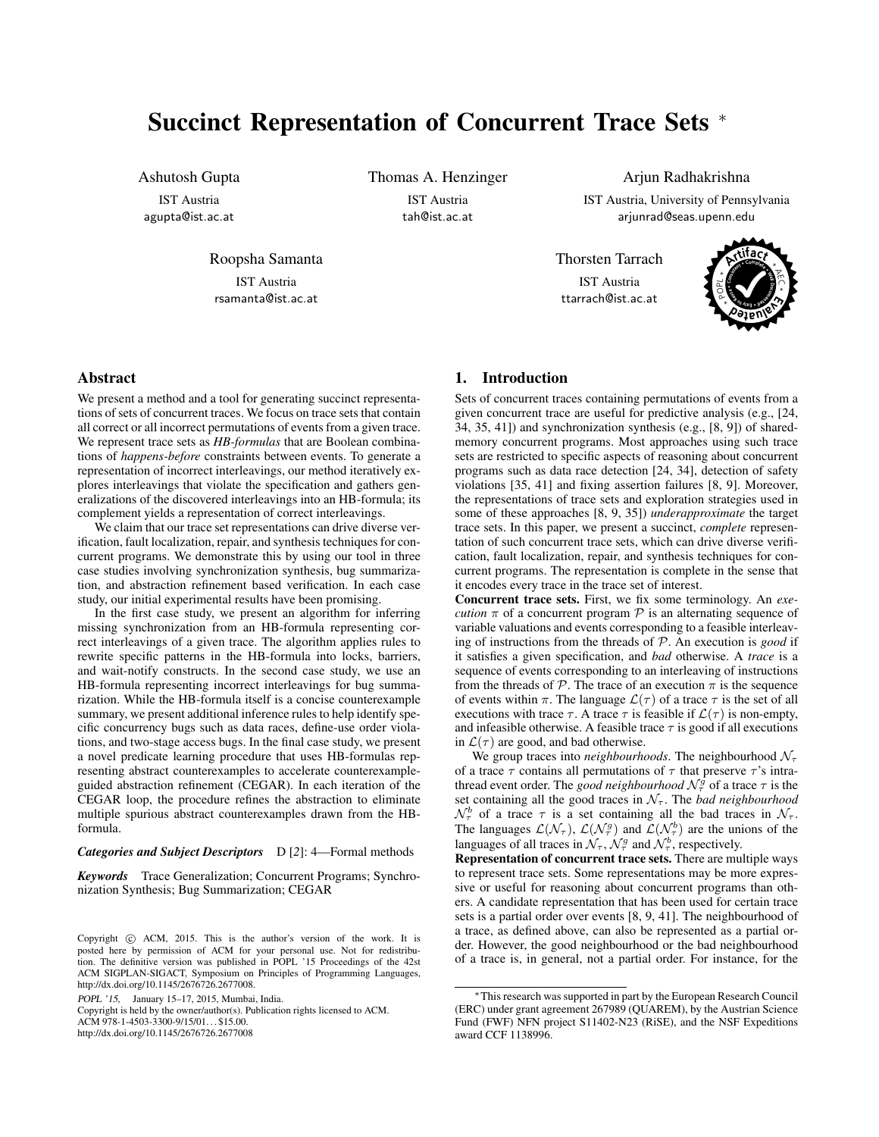# <span id="page-0-0"></span>Succinct Representation of Concurrent Trace Sets <sup>∗</sup>

Ashutosh Gupta

IST Austria agupta@ist.ac.at

Roopsha Samanta

IST Austria rsamanta@ist.ac.at Thomas A. Henzinger IST Austria tah@ist.ac.at

Arjun Radhakrishna IST Austria, University of Pennsylvania arjunrad@seas.upenn.edu

Thorsten Tarrach IST Austria ttarrach@ist.ac.at



# Abstract

We present a method and a tool for generating succinct representations of sets of concurrent traces. We focus on trace sets that contain all correct or all incorrect permutations of events from a given trace. We represent trace sets as *HB-formulas* that are Boolean combinations of *happens-before* constraints between events. To generate a representation of incorrect interleavings, our method iteratively explores interleavings that violate the specification and gathers generalizations of the discovered interleavings into an HB-formula; its complement yields a representation of correct interleavings.

We claim that our trace set representations can drive diverse verification, fault localization, repair, and synthesis techniques for concurrent programs. We demonstrate this by using our tool in three case studies involving synchronization synthesis, bug summarization, and abstraction refinement based verification. In each case study, our initial experimental results have been promising.

In the first case study, we present an algorithm for inferring missing synchronization from an HB-formula representing correct interleavings of a given trace. The algorithm applies rules to rewrite specific patterns in the HB-formula into locks, barriers, and wait-notify constructs. In the second case study, we use an HB-formula representing incorrect interleavings for bug summarization. While the HB-formula itself is a concise counterexample summary, we present additional inference rules to help identify specific concurrency bugs such as data races, define-use order violations, and two-stage access bugs. In the final case study, we present a novel predicate learning procedure that uses HB-formulas representing abstract counterexamples to accelerate counterexampleguided abstraction refinement (CEGAR). In each iteration of the CEGAR loop, the procedure refines the abstraction to eliminate multiple spurious abstract counterexamples drawn from the HBformula.

#### *Categories and Subject Descriptors* D [*2*]: 4—Formal methods

*Keywords* Trace Generalization; Concurrent Programs; Synchronization Synthesis; Bug Summarization; CEGAR

Copyright is held by the owner/author(s). Publication rights licensed to ACM.

ACM 978-1-4503-3300-9/15/01... \$15.00.

http://dx.doi.org/10.1145/2676726.2677008

# 1. Introduction

Sets of concurrent traces containing permutations of events from a given concurrent trace are useful for predictive analysis (e.g., [\[24,](#page-11-0) [34,](#page-11-1) [35,](#page-11-2) [41\]](#page-11-3)) and synchronization synthesis (e.g., [\[8,](#page-11-4) [9\]](#page-11-5)) of sharedmemory concurrent programs. Most approaches using such trace sets are restricted to specific aspects of reasoning about concurrent programs such as data race detection [\[24,](#page-11-0) [34\]](#page-11-1), detection of safety violations [\[35,](#page-11-2) [41\]](#page-11-3) and fixing assertion failures [\[8,](#page-11-4) [9\]](#page-11-5). Moreover, the representations of trace sets and exploration strategies used in some of these approaches [\[8,](#page-11-4) [9,](#page-11-5) [35\]](#page-11-2)) *underapproximate* the target trace sets. In this paper, we present a succinct, *complete* representation of such concurrent trace sets, which can drive diverse verification, fault localization, repair, and synthesis techniques for concurrent programs. The representation is complete in the sense that it encodes every trace in the trace set of interest.

Concurrent trace sets. First, we fix some terminology. An *execution*  $\pi$  of a concurrent program  $P$  is an alternating sequence of variable valuations and events corresponding to a feasible interleaving of instructions from the threads of P. An execution is *good* if it satisfies a given specification, and *bad* otherwise. A *trace* is a sequence of events corresponding to an interleaving of instructions from the threads of  $P$ . The trace of an execution  $\pi$  is the sequence of events within  $\pi$ . The language  $\mathcal{L}(\tau)$  of a trace  $\tau$  is the set of all executions with trace  $\tau$ . A trace  $\tau$  is feasible if  $\mathcal{L}(\tau)$  is non-empty, and infeasible otherwise. A feasible trace  $\tau$  is good if all executions in  $\mathcal{L}(\tau)$  are good, and bad otherwise.

We group traces into *neighbourhoods*. The neighbourhood  $\mathcal{N}_{\tau}$ of a trace  $\tau$  contains all permutations of  $\tau$  that preserve  $\tau$ 's intrathread event order. The *good neighbourhood*  $\mathcal{N}_{\tau}^{\hat{g}}$  of a trace  $\tau$  is the set containing all the good traces in  $\mathcal{N}_{\tau}$ . The *bad neighbourhood*  $\mathcal{N}_{\tau}^{b}$  of a trace  $\tau$  is a set containing all the bad traces in  $\mathcal{N}_{\tau}$ . The languages  $\mathcal{L}(\mathcal{N}_{\tau})$ ,  $\mathcal{L}(\mathcal{N}_{\tau}^{g})$  and  $\mathcal{L}(\mathcal{N}_{\tau}^{b})$  are the unions of the languages of all traces in  $\mathcal{N}_{\tau}$ ,  $\mathcal{N}_{\tau}^{g}$  and  $\mathcal{N}_{\tau}^{b}$ , respectively.

Representation of concurrent trace sets. There are multiple ways to represent trace sets. Some representations may be more expressive or useful for reasoning about concurrent programs than others. A candidate representation that has been used for certain trace sets is a partial order over events [\[8,](#page-11-4) [9,](#page-11-5) [41\]](#page-11-3). The neighbourhood of a trace, as defined above, can also be represented as a partial order. However, the good neighbourhood or the bad neighbourhood of a trace is, in general, not a partial order. For instance, for the

Copyright  $\odot$  ACM, 2015. This is the author's version of the work. It is posted here by permission of ACM for your personal use. Not for redistribution. The definitive version was published in POPL '15 Proceedings of the 42st ACM SIGPLAN-SIGACT, Symposium on Principles of Programming Languages, http://dx.doi.org/10.1145/2676726.2677008.

POPL '15, January 15–17, 2015, Mumbai, India.

<sup>∗</sup>This research was supported in part by the European Research Council (ERC) under grant agreement 267989 (QUAREM), by the Austrian Science Fund (FWF) NFN project S11402-N23 (RiSE), and the NSF Expeditions award CCF 1138996.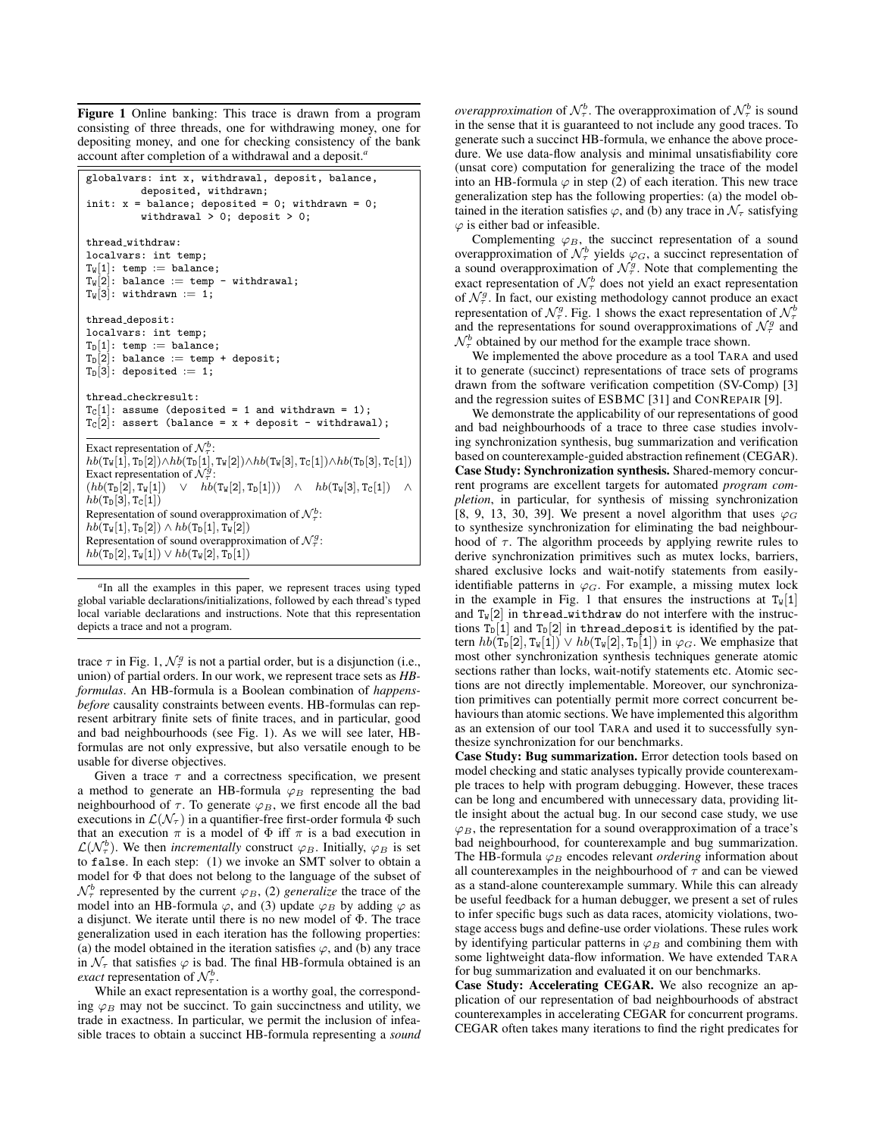Figure 1 Online banking: This trace is drawn from a program consisting of three threads, one for withdrawing money, one for depositing money, and one for checking consistency of the bank account after completion of a withdrawal and a deposit.*[a](#page-1-0)*

```
globalvars: int x, withdrawal, deposit, balance,
            deposited, withdrawn;
init: x = balance; deposited = 0; withdrawn = 0;
            withdrawal > 0; deposit > 0;
thread withdraw:
localvars: int temp;
T_W[1]: temp := balance;
T_w[2]: balance := temp - withdrawal;
T_{W}[3]: withdrawn := 1;
thread deposit:
localvars: int temp;
T_D[1]: temp := balance;
T_D[2]: balance := temp + deposit;
T_D[3]: deposited := 1;
thread checkresult:
T_C[1]: assume (deposited = 1 and withdrawn = 1);
T_c[2]: assert (balance = x + deposit - withdrawal);
Exact representation of \mathcal{N}_{\tau}^b:
hb(T_w[1], T_D[2]) \wedge hb(T_D[1], T_w[2]) \wedge hb(T_w[3], T_C[1]) \wedge hb(T_D[3], T_C[1])Exact representation of \mathcal{N}_{\tau}^{\mathcal{G}}:
(hb(T_{D}[2], T_{W}[1]) \quad \vee \quad hb(T_{W}[2], T_{D}[1])) \quad \wedge \quad hb(T_{W}[3], T_{C}[1])hb(T_{D}[3], T_{C}[1])Representation of sound overapproximation of \mathcal{N}_{\tau}^{b}:
hb(T_w[1], T_D[2]) \wedge hb(T_D[1], T_w[2])Representation of sound overapproximation of \mathcal{N}_{\tau}^g:
hb(T_D[2], T_W[1]) \vee hb(T_W[2], T_D[1])
```
<span id="page-1-0"></span><sup>a</sup>In all the examples in this paper, we represent traces using typed global variable declarations/initializations, followed by each thread's typed local variable declarations and instructions. Note that this representation depicts a trace and not a program.

trace  $\tau$  in Fig. [1,](#page-1-1)  $\mathcal{N}_{\tau}^g$  is not a partial order, but is a disjunction (i.e., union) of partial orders. In our work, we represent trace sets as *HBformulas*. An HB-formula is a Boolean combination of *happensbefore* causality constraints between events. HB-formulas can represent arbitrary finite sets of finite traces, and in particular, good and bad neighbourhoods (see Fig. [1\)](#page-1-1). As we will see later, HBformulas are not only expressive, but also versatile enough to be usable for diverse objectives.

Given a trace  $\tau$  and a correctness specification, we present a method to generate an HB-formula  $\varphi_B$  representing the bad neighbourhood of  $\tau$ . To generate  $\varphi_B$ , we first encode all the bad executions in  $\mathcal{L}(\mathcal{N}_{\tau})$  in a quantifier-free first-order formula  $\Phi$  such that an execution  $\pi$  is a model of  $\Phi$  iff  $\pi$  is a bad execution in  $\mathcal{L}(\mathcal{N}_{\tau}^{b})$ . We then *incrementally* construct  $\varphi_B$ . Initially,  $\varphi_B$  is set to false. In each step: (1) we invoke an SMT solver to obtain a model for Φ that does not belong to the language of the subset of  $\mathcal{N}_{\tau}^{b}$  represented by the current  $\varphi_B$ , (2) *generalize* the trace of the model into an HB-formula  $\varphi$ , and (3) update  $\varphi_B$  by adding  $\varphi$  as a disjunct. We iterate until there is no new model of Φ. The trace generalization used in each iteration has the following properties: (a) the model obtained in the iteration satisfies  $\varphi$ , and (b) any trace in  $\mathcal{N}_{\tau}$  that satisfies  $\varphi$  is bad. The final HB-formula obtained is an *exact* representation of  $\mathcal{N}_{\tau}^b$ .

While an exact representation is a worthy goal, the corresponding  $\varphi_B$  may not be succinct. To gain succinctness and utility, we trade in exactness. In particular, we permit the inclusion of infeasible traces to obtain a succinct HB-formula representing a *sound*

*overapproximation* of  $\mathcal{N}_{\tau}^{b}$ . The overapproximation of  $\mathcal{N}_{\tau}^{b}$  is sound in the sense that it is guaranteed to not include any good traces. To generate such a succinct HB-formula, we enhance the above procedure. We use data-flow analysis and minimal unsatisfiability core (unsat core) computation for generalizing the trace of the model into an HB-formula  $\varphi$  in step (2) of each iteration. This new trace generalization step has the following properties: (a) the model obtained in the iteration satisfies  $\varphi$ , and (b) any trace in  $\mathcal{N}_{\tau}$  satisfying  $\varphi$  is either bad or infeasible.

Complementing  $\varphi_B$ , the succinct representation of a sound overapproximation of  $\mathcal{N}_{\tau}^{b}$  yields  $\varphi_{G}$ , a succinct representation of a sound overapproximation of  $\mathcal{N}_{\tau}^g$ . Note that complementing the exact representation of  $\mathcal{N}_{\tau}^{b}$  does not yield an exact representation of  $\mathcal{N}_{\tau}^g$ . In fact, our existing methodology cannot produce an exact representation of  $\mathcal{N}_{\tau}^g$ . Fig. [1](#page-1-1) shows the exact representation of  $\mathcal{N}_{\tau}^b$ and the representations for sound overapproximations of  $\mathcal{N}_{\tau}^g$  and  $\mathcal{N}_{\tau}^{b}$  obtained by our method for the example trace shown.

We implemented the above procedure as a tool TARA and used it to generate (succinct) representations of trace sets of programs drawn from the software verification competition (SV-Comp) [\[3\]](#page-11-6) and the regression suites of ESBMC [\[31\]](#page-11-7) and CONREPAIR [\[9\]](#page-11-5).

We demonstrate the applicability of our representations of good and bad neighbourhoods of a trace to three case studies involving synchronization synthesis, bug summarization and verification based on counterexample-guided abstraction refinement (CEGAR). Case Study: Synchronization synthesis. Shared-memory concurrent programs are excellent targets for automated *program completion*, in particular, for synthesis of missing synchronization [\[8,](#page-11-4) [9,](#page-11-5) [13,](#page-11-8) [30,](#page-11-9) [39\]](#page-11-10). We present a novel algorithm that uses  $\varphi_G$ to synthesize synchronization for eliminating the bad neighbourhood of  $\tau$ . The algorithm proceeds by applying rewrite rules to derive synchronization primitives such as mutex locks, barriers, shared exclusive locks and wait-notify statements from easilyidentifiable patterns in  $\varphi_G$ . For example, a missing mutex lock in the example in Fig. [1](#page-1-1) that ensures the instructions at  $T_w[1]$ and  $T_w[2]$  in thread withdraw do not interfere with the instructions  $T_D[1]$  and  $T_D[2]$  in thread deposit is identified by the pattern  $hb(T_D[2], T_W[1]) \vee hb(T_W[2], T_D[1])$  in  $\varphi_G$ . We emphasize that most other synchronization synthesis techniques generate atomic sections rather than locks, wait-notify statements etc. Atomic sections are not directly implementable. Moreover, our synchronization primitives can potentially permit more correct concurrent behaviours than atomic sections. We have implemented this algorithm as an extension of our tool TARA and used it to successfully synthesize synchronization for our benchmarks.

Case Study: Bug summarization. Error detection tools based on model checking and static analyses typically provide counterexample traces to help with program debugging. However, these traces can be long and encumbered with unnecessary data, providing little insight about the actual bug. In our second case study, we use  $\varphi_B$ , the representation for a sound overapproximation of a trace's bad neighbourhood, for counterexample and bug summarization. The HB-formula  $\varphi_B$  encodes relevant *ordering* information about all counterexamples in the neighbourhood of  $\tau$  and can be viewed as a stand-alone counterexample summary. While this can already be useful feedback for a human debugger, we present a set of rules to infer specific bugs such as data races, atomicity violations, twostage access bugs and define-use order violations. These rules work by identifying particular patterns in  $\varphi_B$  and combining them with some lightweight data-flow information. We have extended TARA for bug summarization and evaluated it on our benchmarks.

Case Study: Accelerating CEGAR. We also recognize an application of our representation of bad neighbourhoods of abstract counterexamples in accelerating CEGAR for concurrent programs. CEGAR often takes many iterations to find the right predicates for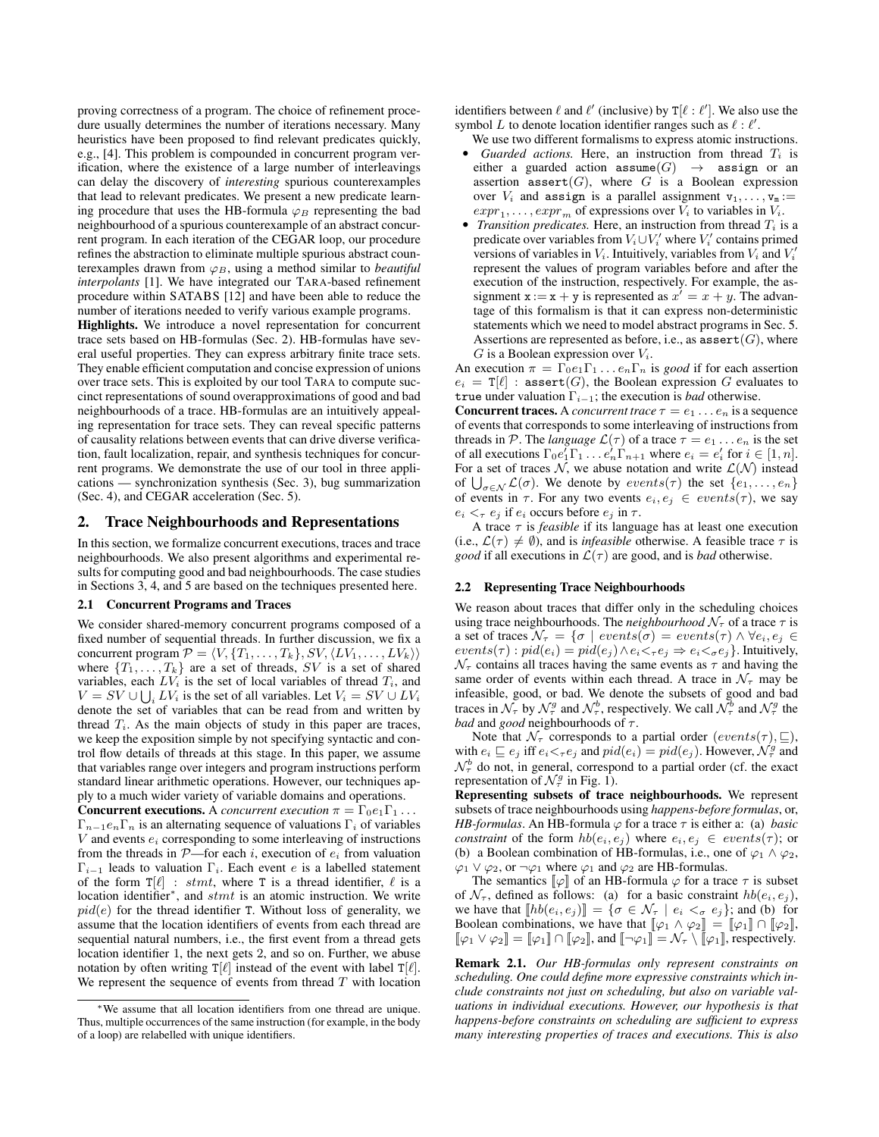proving correctness of a program. The choice of refinement procedure usually determines the number of iterations necessary. Many heuristics have been proposed to find relevant predicates quickly, e.g., [\[4\]](#page-11-11). This problem is compounded in concurrent program verification, where the existence of a large number of interleavings can delay the discovery of *interesting* spurious counterexamples that lead to relevant predicates. We present a new predicate learning procedure that uses the HB-formula  $\varphi_B$  representing the bad neighbourhood of a spurious counterexample of an abstract concurrent program. In each iteration of the CEGAR loop, our procedure refines the abstraction to eliminate multiple spurious abstract counterexamples drawn from  $\varphi_B$ , using a method similar to *beautiful interpolants* [\[1\]](#page-11-12). We have integrated our TARA-based refinement procedure within SATABS [\[12\]](#page-11-13) and have been able to reduce the number of iterations needed to verify various example programs.

Highlights. We introduce a novel representation for concurrent trace sets based on HB-formulas (Sec. [2\)](#page-2-0). HB-formulas have several useful properties. They can express arbitrary finite trace sets. They enable efficient computation and concise expression of unions over trace sets. This is exploited by our tool TARA to compute succinct representations of sound overapproximations of good and bad neighbourhoods of a trace. HB-formulas are an intuitively appealing representation for trace sets. They can reveal specific patterns of causality relations between events that can drive diverse verification, fault localization, repair, and synthesis techniques for concurrent programs. We demonstrate the use of our tool in three applications — synchronization synthesis (Sec. [3\)](#page-4-0), bug summarization (Sec. [4\)](#page-6-0), and CEGAR acceleration (Sec. [5\)](#page-9-0).

## <span id="page-2-0"></span>2. Trace Neighbourhoods and Representations

In this section, we formalize concurrent executions, traces and trace neighbourhoods. We also present algorithms and experimental results for computing good and bad neighbourhoods. The case studies in Sections [3,](#page-4-0) [4,](#page-6-0) and [5](#page-9-0) are based on the techniques presented here.

#### 2.1 Concurrent Programs and Traces

We consider shared-memory concurrent programs composed of a fixed number of sequential threads. In further discussion, we fix a concurrent program  $\mathcal{P} = \langle V, \{T_1, \ldots, T_k\}, SV, \langle LV_1, \ldots, LV_k \rangle \rangle$ where  $\{T_1, \ldots, T_k\}$  are a set of threads, SV is a set of shared variables, each  $LV_i$  is the set of local variables of thread  $T_i$ , and  $V = SV \cup \bigcup_i LV_i$  is the set of all variables. Let  $V_i = SV \cup LV_i$ denote the set of variables that can be read from and written by thread  $T_i$ . As the main objects of study in this paper are traces, we keep the exposition simple by not specifying syntactic and control flow details of threads at this stage. In this paper, we assume that variables range over integers and program instructions perform standard linear arithmetic operations. However, our techniques apply to a much wider variety of variable domains and operations.

**Concurrent executions.** A *concurrent execution*  $\pi = \Gamma_0 e_1 \Gamma_1 \dots$  $\Gamma_{n-1}e_n\Gamma_n$  is an alternating sequence of valuations  $\Gamma_i$  of variables  $V$  and events  $e_i$  corresponding to some interleaving of instructions from the threads in  $\mathcal{P}$ —for each i, execution of  $e_i$  from valuation  $\Gamma_{i-1}$  leads to valuation  $\Gamma_i$ . Each event e is a labelled statement of the form  $T[\ell]$  : stmt, where T is a thread identifier,  $\ell$  is a location identifier<sup>\*</sup>, and  $stmt$  is an atomic instruction. We write  $pid(e)$  for the thread identifier T. Without loss of generality, we assume that the location identifiers of events from each thread are sequential natural numbers, i.e., the first event from a thread gets location identifier 1, the next gets 2, and so on. Further, we abuse notation by often writing  $T[\ell]$  instead of the event with label  $T[\ell]$ . We represent the sequence of events from thread  $T$  with location identifiers between  $\ell$  and  $\ell'$  (inclusive) by T[ $\ell : \ell'$ ]. We also use the symbol L to denote location identifier ranges such as  $\ell : \ell'$ .

- We use two different formalisms to express atomic instructions. • *Guarded actions.* Here, an instruction from thread  $T_i$  is either a guarded action  $\texttt{assume}(G) \rightarrow \texttt{assign}$  or an assertion  $\texttt{assert}(G)$ , where G is a Boolean expression over  $V_i$  and assign is a parallel assignment  $v_1, \ldots, v_m :=$  $expr_1, \ldots, expr_m$  of expressions over  $V_i$  to variables in  $V_i$ .
- *Transition predicates.* Here, an instruction from thread  $T_i$  is a predicate over variables from  $V_i \cup V'_i$  where  $V'_i$  contains primed versions of variables in  $V_i$ . Intuitively, variables from  $V_i$  and  $V'_i$ represent the values of program variables before and after the execution of the instruction, respectively. For example, the assignment  $x := x + y$  is represented as  $x' = x + y$ . The advantage of this formalism is that it can express non-deterministic statements which we need to model abstract programs in Sec. [5.](#page-9-0) Assertions are represented as before, i.e., as  $\texttt{assert}(G)$ , where  $G$  is a Boolean expression over  $V_i$ .

An execution  $\pi = \Gamma_0 e_1 \Gamma_1 \dots e_n \Gamma_n$  is *good* if for each assertion  $e_i = T[\ell]$ : assert $(G)$ , the Boolean expression G evaluates to true under valuation  $\Gamma_{i-1}$ ; the execution is *bad* otherwise.

**Concurrent traces.** A *concurrent trace*  $\tau = e_1 \dots e_n$  is a sequence of events that corresponds to some interleaving of instructions from threads in P. The *language*  $\mathcal{L}(\tau)$  of a trace  $\tau = e_1 \dots e_n$  is the set of all executions  $\Gamma_0 e_1^{\dagger} \Gamma_1 \dots e_n^{\dagger} \Gamma_{n+1}$  where  $e_i = e_i^{\dagger}$  for  $i \in [1, n]$ . For a set of traces N, we abuse notation and write  $\mathcal{L}(\mathcal{N})$  instead of  $\bigcup_{\sigma \in \mathcal{N}} \mathcal{L}(\sigma)$ . We denote by  $events(\tau)$  the set  $\{e_1, \ldots, e_n\}$ of events in  $\tau$ . For any two events  $e_i, e_j \in events(\tau)$ , we say  $e_i <_{\tau} e_j$  if  $e_i$  occurs before  $e_j$  in  $\tau$ .

A trace  $\tau$  is *feasible* if its language has at least one execution (i.e.,  $\mathcal{L}(\tau) \neq \emptyset$ ), and is *infeasible* otherwise. A feasible trace  $\tau$  is *good* if all executions in  $\mathcal{L}(\tau)$  are good, and is *bad* otherwise.

#### 2.2 Representing Trace Neighbourhoods

We reason about traces that differ only in the scheduling choices using trace neighbourhoods. The *neighbourhood*  $N_{\tau}$  of a trace  $\tau$  is a set of traces  $\mathcal{N}_{\tau} = \{ \sigma \mid events(\sigma) = events(\tau) \land \forall e_i, e_j \in$  $events(\tau) : pid(e_i) = pid(e_j) \wedge e_i \leq_\tau e_j \Rightarrow e_i \leq_\sigma e_j$ . Intuitively,  $\mathcal{N}_{\tau}$  contains all traces having the same events as  $\tau$  and having the same order of events within each thread. A trace in  $\mathcal{N}_{\tau}$  may be infeasible, good, or bad. We denote the subsets of good and bad traces in  $\mathcal{N}_{\tau}$  by  $\mathcal{N}_{\tau}^g$  and  $\mathcal{N}_{\tau}^b$ , respectively. We call  $\mathcal{N}_{\tau}^b$  and  $\mathcal{N}_{\tau}^g$  the *bad* and *good* neighbourhoods of  $\tau$ .

Note that  $\mathcal{N}_{\tau}$  corresponds to a partial order  $(events(\tau), \sqsubseteq),$ with  $e_i \sqsubseteq e_j$  iff  $e_i \leq_\tau e_j$  and  $pid(e_i) = pid(e_j)$ . However,  $\mathcal{N}^g_\tau$  and  $\mathcal{N}_{\tau}^{b}$  do not, in general, correspond to a partial order (cf. the exact representation of  $\mathcal{N}_{\tau}^g$  in Fig. [1\)](#page-1-1).

Representing subsets of trace neighbourhoods. We represent subsets of trace neighbourhoods using *happens-before formulas*, or, *HB-formulas*. An HB-formula  $\varphi$  for a trace  $\tau$  is either a: (a) *basic constraint* of the form  $hb(e_i, e_j)$  where  $e_i, e_j \in events(\tau)$ ; or (b) a Boolean combination of HB-formulas, i.e., one of  $\varphi_1 \wedge \varphi_2$ ,  $\varphi_1 \lor \varphi_2$ , or  $\neg \varphi_1$  where  $\varphi_1$  and  $\varphi_2$  are HB-formulas.

The semantics  $\llbracket \varphi \rrbracket$  of an HB-formula  $\varphi$  for a trace  $\tau$  is subset of  $\mathcal{N}_{\tau}$ , defined as follows: (a) for a basic constraint  $hb(e_i, e_j)$ , we have that  $[[hb(e_i, e_j)]] = \{ \sigma \in \mathcal{N}_{\tau} \mid e_i <_{\sigma} e_j \}$ ; and (b) for Boolean combinations, we have that  $[\![\varphi_1 \wedge \varphi_2]\!] = [\![\varphi_1]\!] \cap [\![\varphi_2]\!]$ ,  $[\![\varphi_1 \vee \varphi_2]\!] = [\![\varphi_1]\!] \cap [\![\varphi_2]\!]$ , and  $[\![\neg \varphi_1]\!] = \mathcal{N}_{\tau} \setminus [\![\varphi_1]\!]$ , respectively.

Remark 2.1. *Our HB-formulas only represent constraints on scheduling. One could define more expressive constraints which include constraints not just on scheduling, but also on variable valuations in individual executions. However, our hypothesis is that happens-before constraints on scheduling are sufficient to express many interesting properties of traces and executions. This is also*

<sup>∗</sup>We assume that all location identifiers from one thread are unique. Thus, multiple occurrences of the same instruction (for example, in the body of a loop) are relabelled with unique identifiers.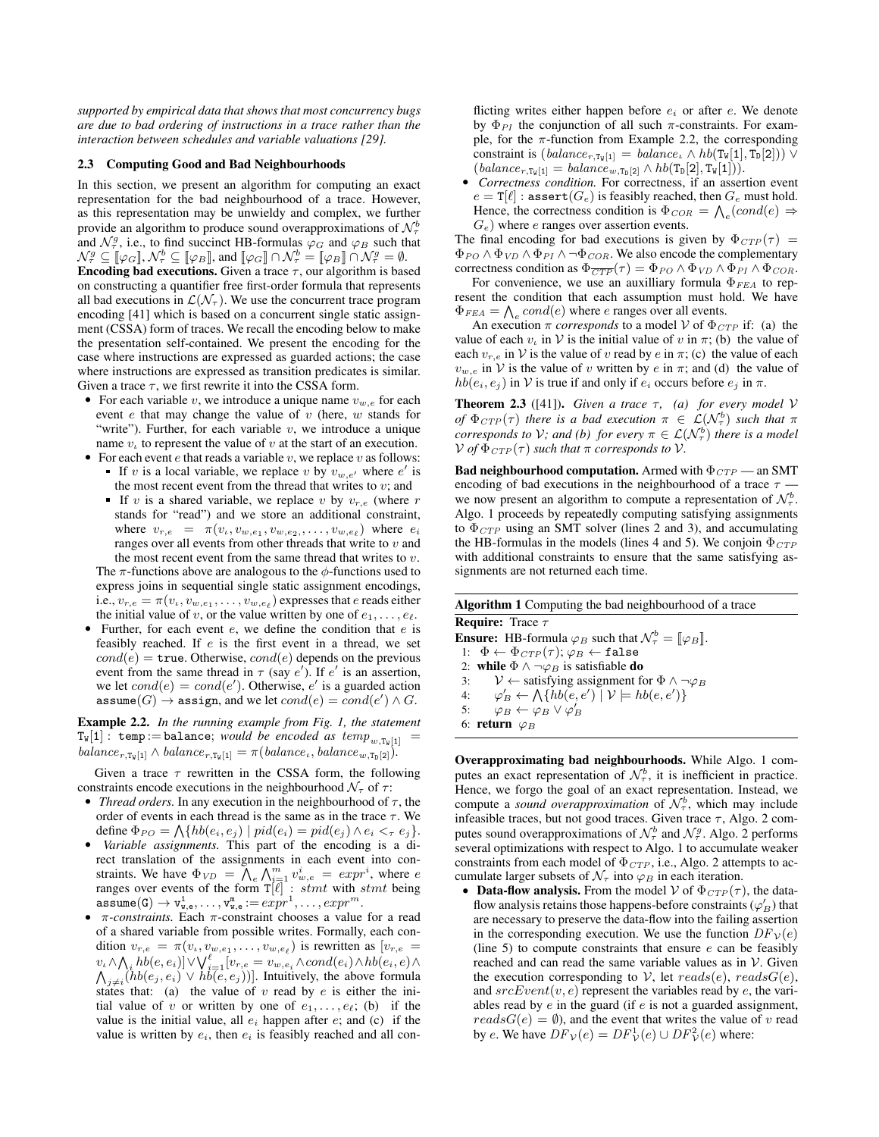*supported by empirical data that shows that most concurrency bugs are due to bad ordering of instructions in a trace rather than the interaction between schedules and variable valuations [\[29\]](#page-11-14).*

#### 2.3 Computing Good and Bad Neighbourhoods

In this section, we present an algorithm for computing an exact representation for the bad neighbourhood of a trace. However, as this representation may be unwieldy and complex, we further provide an algorithm to produce sound overapproximations of  $\mathcal{N}_\tau^b$ and  $\mathcal{N}_{\tau}^g$ , i.e., to find succinct HB-formulas  $\varphi_G$  and  $\varphi_B$  such that  $\mathcal{N}_{\tau}^{g} \subseteq \llbracket \varphi_{G} \rrbracket, \mathcal{N}_{\tau}^{b} \subseteq \llbracket \varphi_{B} \rrbracket$ , and  $\llbracket \varphi_{G} \rrbracket \cap \mathcal{N}_{\tau}^{b} = \llbracket \varphi_{B} \rrbracket \cap \mathcal{N}_{\tau}^{g} = \emptyset$ . **Encoding bad executions.** Given a trace  $\tau$ , our algorithm is based on constructing a quantifier free first-order formula that represents all bad executions in  $\mathcal{L}(\mathcal{N}_{\tau})$ . We use the concurrent trace program encoding [\[41\]](#page-11-3) which is based on a concurrent single static assignment (CSSA) form of traces. We recall the encoding below to make the presentation self-contained. We present the encoding for the case where instructions are expressed as guarded actions; the case where instructions are expressed as transition predicates is similar. Given a trace  $\tau$ , we first rewrite it into the CSSA form.

- For each variable v, we introduce a unique name  $v_{w,e}$  for each event  $e$  that may change the value of  $v$  (here,  $w$  stands for "write"). Further, for each variable  $v$ , we introduce a unique name  $v_t$  to represent the value of v at the start of an execution.
- For each event  $e$  that reads a variable  $v$ , we replace  $v$  as follows: If v is a local variable, we replace v by  $v_{w,e'}$  where e' is the most recent event from the thread that writes to  $v$ ; and
	- If v is a shared variable, we replace v by  $v_{r,e}$  (where r stands for "read") and we store an additional constraint, where  $v_{r,e} = \pi(v_{\iota}, v_{w,e_1}, v_{w,e_2}, \dots, v_{w,e_{\ell}})$  where  $e_i$ ranges over all events from other threads that write to  $v$  and the most recent event from the same thread that writes to  $v$ . The  $\pi$ -functions above are analogous to the  $\phi$ -functions used to

express joins in sequential single static assignment encodings, i.e.,  $v_{r,e} = \pi(v_\iota, v_{w,e_1}, \ldots, v_{w,e_\ell})$  expresses that  $e$  reads either the initial value of v, or the value written by one of  $e_1, \ldots, e_\ell$ .

Further, for each event  $e$ , we define the condition that  $e$  is feasibly reached. If  $e$  is the first event in a thread, we set  $cond(e) = \text{true}$ . Otherwise,  $cond(e)$  depends on the previous event from the same thread in  $\tau$  (say e'). If e' is an assertion, we let  $cond(e) = cond(e')$ . Otherwise, e' is a guarded action assume $(G) \rightarrow$  assign, and we let  $cond(e) = cond(e') \wedge G$ .

<span id="page-3-0"></span>Example 2.2. *In the running example from Fig. [1,](#page-1-1) the statement*  $T_w[1]$ : temp:=balance; *would be encoded as temp*<sub>w,Tw</sub>[1] =  $\text{balance}_{r,\text{Tw}[1]} \wedge \text{balance}_{r,\text{Tw}[1]} = \pi(\text{balance}_{\iota}, \text{balance}_{w,\text{Tw}[2]}).$ 

Given a trace  $\tau$  rewritten in the CSSA form, the following constraints encode executions in the neighbourhood  $\mathcal{N}_{\tau}$  of  $\tau$ :

- *Thread orders*. In any execution in the neighbourhood of  $\tau$ , the order of events in each thread is the same as in the trace  $\tau$ . We define  $\Phi_{PO} = \bigwedge \{ hb(e_i, e_j) \mid pid(e_i) = pid(e_j) \wedge e_i \leq_\tau e_j \}.$
- *Variable assignments.* This part of the encoding is a direct translation of the assignments in each event into constraints. We have  $\Phi_{VD} = \overline{\bigwedge_e} \bigwedge_{i=1}^m v_{w,e}^i = expr^i$ , where e ranges over events of the form  $T[\ell]$  : stmt with stmt being  $\mathtt{assume(G)} \rightarrow \mathtt{v}_{\mathtt{w},\mathtt{e}}^1, \ldots, \mathtt{v}_{\mathtt{w},\mathtt{e}}^{\mathtt{m}} := expr^1, \ldots, expr^m.$
- $π$ -constraints. Each  $π$ -constraint chooses a value for a read of a shared variable from possible writes. Formally, each condition  $v_{r,e} = \pi(v_e, v_{w,e_1}, \dots, v_{w,e_\ell})$  is rewritten as  $[v_{r,e}]$  $\langle v_\iota \wedge \bigwedge_i \mathit{hb}(e,e_i) ] \vee \bigvee_{i=1}^\ell [v_{r,e} = v_{w,e_i} \wedge cond(e_i) \wedge \mathit{hb}(e_i,e) \wedge \mathit{hb}(e_i,e_i) ]$  $\bigwedge_{j\neq i}^{U_i \wedge \gamma} \bigwedge_{i=1}^{i=1} \big\{ b(e_j, e_i) \vee b(e, e_j) \big\}$ . Intuitively, the above formula states that: (a) the value of v read by  $e$  is either the initial value of v or written by one of  $e_1, \ldots, e_\ell$ ; (b) if the value is the initial value, all  $e_i$  happen after  $e$ ; and (c) if the value is written by  $e_i$ , then  $e_i$  is feasibly reached and all con-

flicting writes either happen before  $e_i$  or after  $e$ . We denote by  $\Phi_{PI}$  the conjunction of all such  $\pi$ -constraints. For example, for the  $\pi$ -function from Example [2.2,](#page-3-0) the corresponding constraint is  $(balance_{r,T_w[1]} = balance_{\iota} \wedge hb(T_w[1], T_D[2])) \vee$  $(balance_{r,T_w[1]} = balance_{w,T_D[2]} \wedge hb(T_D[2],T_w[1])).$ 

• *Correctness condition.* For correctness, if an assertion event  $e = \mathbf{T}[\ell]$ : assert $(G_e)$  is feasibly reached, then  $G_e$  must hold. Hence, the correctness condition is  $\Phi_{COR} = \bigwedge_e (cond(e) \Rightarrow$  $G_e$ ) where *e* ranges over assertion events.

The final encoding for bad executions is given by  $\Phi_{CTP}(\tau)$  =  $\Phi_{PO} \wedge \Phi_{VD} \wedge \Phi_{PI} \wedge \neg \Phi_{COR}$ . We also encode the complementary correctness condition as  $\Phi_{\overline{CTP}}(\tau) = \Phi_{PO} \wedge \Phi_{VD} \wedge \Phi_{PI} \wedge \Phi_{COR}$ .

For convenience, we use an auxilliary formula  $\Phi$ <sub>FEA</sub> to represent the condition that each assumption must hold. We have  $\Phi_{FEA} = \bigwedge_e cond(e)$  where *e* ranges over all events.

An execution  $\pi$  *corresponds* to a model V of  $\Phi_{CTP}$  if: (a) the value of each  $v_i$  in V is the initial value of v in  $\pi$ ; (b) the value of each  $v_{r,e}$  in V is the value of v read by e in  $\pi$ ; (c) the value of each  $v_{w,e}$  in V is the value of v written by e in  $\pi$ ; and (d) the value of  $hb(e_i, e_j)$  in V is true if and only if  $e_i$  occurs before  $e_j$  in  $\pi$ .

**Theorem 2.3** ([\[41\]](#page-11-3)). *Given a trace*  $\tau$ , *(a) for every model*  $V$ *of*  $\Phi_{CTP}(\tau)$  *there is a bad execution*  $\pi \in \mathcal{L}(\mathcal{N}_{\tau}^b)$  *such that*  $\pi$ *corresponds to V; and (b) for every*  $\pi \in \mathcal{L}(\mathcal{N}_{\tau}^{b})$  *there is a model*  $V$  *of*  $\Phi_{CTP}(\tau)$  *such that*  $\pi$  *corresponds to*  $V$ *.* 

**Bad neighbourhood computation.** Armed with  $\Phi_{CTP}$  — an SMT encoding of bad executions in the neighbourhood of a trace  $\tau$ . we now present an algorithm to compute a representation of  $\mathcal{N}_{\tau}^{b}$ . Algo. [1](#page-3-1) proceeds by repeatedly computing satisfying assignments to  $\Phi_{CTP}$  using an SMT solver (lines [2](#page-3-2) and [3\)](#page-3-3), and accumulating the HB-formulas in the models (lines [4](#page-3-4) and [5\)](#page-3-5). We conjoin  $\Phi_{CTP}$ with additional constraints to ensure that the same satisfying assignments are not returned each time.

<span id="page-3-4"></span><span id="page-3-3"></span><span id="page-3-2"></span><span id="page-3-1"></span>

| <b>Algorithm 1</b> Computing the bad neighbourhood of a trace                                                                                  |  |  |  |  |  |  |  |
|------------------------------------------------------------------------------------------------------------------------------------------------|--|--|--|--|--|--|--|
| <b>Require:</b> Trace $\tau$                                                                                                                   |  |  |  |  |  |  |  |
| <b>Ensure:</b> HB-formula $\varphi_B$ such that $\mathcal{N}^b_\tau = [\varphi_B]$ .                                                           |  |  |  |  |  |  |  |
| 1: $\Phi \leftarrow \Phi_{CTP}(\tau); \varphi_B \leftarrow \texttt{false}$                                                                     |  |  |  |  |  |  |  |
| 2: while $\Phi \wedge \neg \varphi_B$ is satisfiable do                                                                                        |  |  |  |  |  |  |  |
| 3: $V \leftarrow$ satisfying assignment for $\Phi \wedge \neg \varphi_B$                                                                       |  |  |  |  |  |  |  |
| 4: $\varphi_B' \leftarrow \bigwedge \{ hb(e, e') \mid \mathcal{V} \models hb(e, e') \}$<br>5: $\varphi_B \leftarrow \varphi_B \lor \varphi_B'$ |  |  |  |  |  |  |  |
|                                                                                                                                                |  |  |  |  |  |  |  |
| 6: return $\varphi_B$                                                                                                                          |  |  |  |  |  |  |  |

<span id="page-3-5"></span>Overapproximating bad neighbourhoods. While Algo. [1](#page-3-1) computes an exact representation of  $\mathcal{N}_{\tau}^{b}$ , it is inefficient in practice. Hence, we forgo the goal of an exact representation. Instead, we compute a *sound overapproximation* of  $\mathcal{N}_{\tau}^{b}$ , which may include infeasible traces, but not good traces. Given trace  $\tau$ , Algo. [2](#page-4-1) computes sound overapproximations of  $\mathcal{N}_{\tau}^{b}$  and  $\mathcal{N}_{\tau}^{g}$ . Algo. [2](#page-4-1) performs several optimizations with respect to Algo. [1](#page-3-1) to accumulate weaker constraints from each model of  $\Phi_{CTP}$ , i.e., Algo. [2](#page-4-1) attempts to accumulate larger subsets of  $\mathcal{N}_{\tau}$  into  $\varphi_B$  in each iteration.

• Data-flow analysis. From the model V of  $\Phi_{CTP}(\tau)$ , the dataflow analysis retains those happens-before constraints  $(\varphi_B')$  that are necessary to preserve the data-flow into the failing assertion in the corresponding execution. We use the function  $DF_V(e)$ (line [5\)](#page-4-2) to compute constraints that ensure  $e$  can be feasibly reached and can read the same variable values as in  $V$ . Given the execution corresponding to V, let  $reads(e)$ ,  $readsG(e)$ , and  $srcEvent(v, e)$  represent the variables read by e, the variables read by  $e$  in the guard (if  $e$  is not a guarded assignment,  $readsG(e) = \emptyset$ , and the event that writes the value of v read by e. We have  $DF_{\mathcal{V}}(e) = DF_{\mathcal{V}}^1(e) \cup DF_{\mathcal{V}}^2(e)$  where: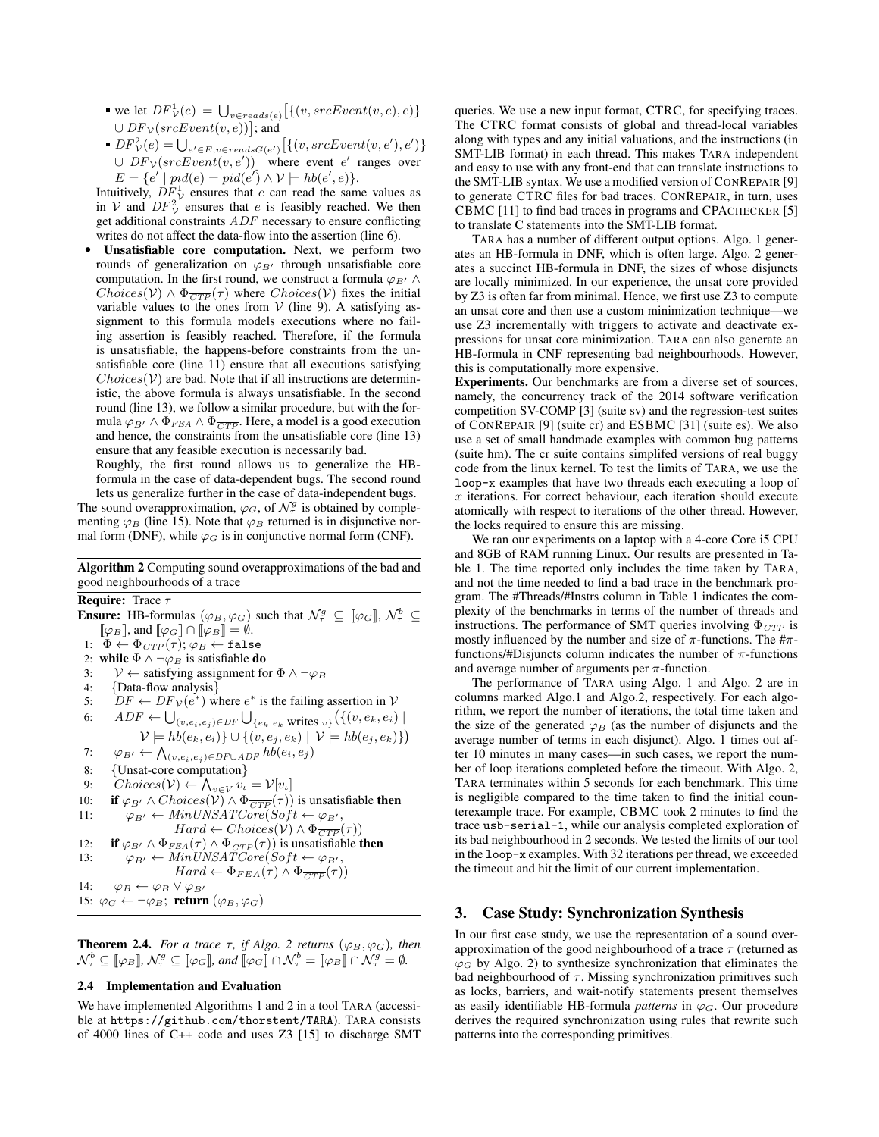- we let  $DF_v^1(e) = \bigcup_{v \in reads(e)} [\{(v, srcEvent(v, e), e)\}]$  $\cup$   $DF_{\mathcal{V}}(srcEvent(v, e))$  ; and
- $DF_V^2(e) = \bigcup_{e' \in E, v \in reads G(e')} \big[\{(v, srcEvent(v, e'), e')\}\big]$  $\cup DF_{\mathcal{V}}(srcEvent(v, e'))$  where event e' ranges over  $E = \{e' \mid pid(e) = pid(e') \land V \models h b(e', e)\}.$

Intuitively,  $DF_v^1$  ensures that e can read the same values as in V and  $DF_V^2$  ensures that e is feasibly reached. We then get additional constraints  $ADF$  necessary to ensure conflicting writes do not affect the data-flow into the assertion (line [6\)](#page-4-3).

• Unsatisfiable core computation. Next, we perform two rounds of generalization on  $\varphi_{B'}$  through unsatisfiable core computation. In the first round, we construct a formula  $\varphi_{B'} \wedge$  $Choices(\mathcal{V}) \wedge \Phi_{\overline{CTP}}(\tau)$  where  $Choices(\mathcal{V})$  fixes the initial variable values to the ones from  $V$  (line [9\)](#page-4-4). A satisfying assignment to this formula models executions where no failing assertion is feasibly reached. Therefore, if the formula is unsatisfiable, the happens-before constraints from the unsatisfiable core (line [11\)](#page-4-5) ensure that all executions satisfying  $Choices(V)$  are bad. Note that if all instructions are deterministic, the above formula is always unsatisfiable. In the second round (line [13\)](#page-4-6), we follow a similar procedure, but with the formula  $\varphi_{B'} \wedge \Phi_{FEA} \wedge \Phi_{\overline{CTP}}$ . Here, a model is a good execution and hence, the constraints from the unsatisfiable core (line [13\)](#page-4-6) ensure that any feasible execution is necessarily bad.

Roughly, the first round allows us to generalize the HBformula in the case of data-dependent bugs. The second round lets us generalize further in the case of data-independent bugs. The sound overapproximation,  $\varphi_G$ , of  $\mathcal{N}^g_\tau$  is obtained by complementing  $\varphi_B$  (line [15\)](#page-4-7). Note that  $\varphi_B$  returned is in disjunctive normal form (DNF), while  $\varphi_G$  is in conjunctive normal form (CNF).

Algorithm 2 Computing sound overapproximations of the bad and good neighbourhoods of a trace

# <span id="page-4-1"></span>**Require:** Trace  $\tau$

<span id="page-4-2"></span>**Ensure:** HB-formulas  $(\varphi_B, \varphi_G)$  such that  $\mathcal{N}^g_\tau \subseteq [\varphi_G], \mathcal{N}^b_\tau \subseteq$  $[\![\varphi_B]\!]$ , and  $[\![\varphi_G]\!] \cap [\![\varphi_B]\!] = \emptyset$ . 1:  $\Phi \leftarrow \Phi_{CTP}(\tau); \varphi_B \leftarrow \texttt{false}$ 2: while  $\Phi \wedge \neg \varphi_B$  is satisfiable do 3:  $V \leftarrow$  satisfying assignment for  $\Phi \land \neg \varphi_B$ 4: {Data-flow analysis} 5:  $DF \leftarrow DF_{\mathcal{V}}(e^*)$  where  $e^*$  is the failing assertion in V 6:  $ADF \leftarrow \bigcup_{(v,e_i,e_j) \in DF} \bigcup_{\{e_k \mid e_k \text{ writes } v\}} (\{(v,e_k,e_i) \mid$  $\mathcal{V} \models \mathit{hb}(e_k, e_i) \cup \{(v, e_j, e_k) \mid \mathcal{V} \models \mathit{hb}(e_j, e_k)\})$ 7:  $\varphi_{B'} \leftarrow \bigwedge_{(v,e_i,e_j) \in DF \cup ADF} hb(e_i,e_j)$ 8: {Unsat-core computation} 9:  $Choices(\mathcal{V}) \leftarrow \bigwedge_{v \in V} v_{\iota} = \mathcal{V}[v_{\iota}]$ 10: **if**  $\varphi_{B'} \wedge Choice(S(\mathcal{V}) \wedge \Phi_{\overline{CTP}}(\tau))$  is unsatisfiable **then**<br>11:  $\varphi_{B'} \leftarrow MinUNSATCore(Soft \leftarrow \varphi_{B'}.$  $\varphi_{B'} \leftarrow MinUNSATCore(Soft \leftarrow \varphi_{B'},$  $Hard \leftarrow Choices(\mathcal{V}) \wedge \Phi_{\overline{CTP}}(\tau))$ 12: **if**  $\varphi_{B'} \wedge \Phi_{FEA}(\tau) \wedge \Phi_{\overline{CTP}}(\tau)$  is unsatisfiable **then**<br>13:  $\varphi_{B'} \leftarrow MinIINSATCore(Soft \leftarrow Q_{B'}$  $I_{\varphi_{B'}} \leftarrow MinUNSATCore(Soft \leftarrow \varphi_{B'},$  $Hard \leftarrow \Phi_{FEA}(\tau) \wedge \Phi_{\overline{CTP}}(\tau))$ 14:  $\varphi_B \leftarrow \varphi_B \vee \varphi_{B'}$ 15:  $\varphi_G \leftarrow \neg \varphi_B$ ; return  $(\varphi_B, \varphi_G)$ 

<span id="page-4-7"></span><span id="page-4-6"></span><span id="page-4-5"></span>**Theorem [2](#page-4-1).4.** *For a trace*  $\tau$ *, if Algo.* 2 *returns* ( $\varphi_B$ ,  $\varphi_G$ )*, then*  $\mathcal{N}_{\tau}^{b} \subseteq [\![\varphi_B]\!], \mathcal{N}_{\tau}^{g} \subseteq [\![\varphi_G]\!],$  and  $[\![\varphi_G]\!] \cap \mathcal{N}_{\tau}^{b} = [\![\varphi_B]\!] \cap \mathcal{N}_{\tau}^{g} = \emptyset.$ 

## 2.4 Implementation and Evaluation

We have implemented Algorithms [1](#page-3-1) and [2](#page-4-1) in a tool TARA (accessible at <https://github.com/thorstent/TARA>). TARA consists of 4000 lines of C++ code and uses Z3 [\[15\]](#page-11-15) to discharge SMT

queries. We use a new input format, CTRC, for specifying traces. The CTRC format consists of global and thread-local variables along with types and any initial valuations, and the instructions (in SMT-LIB format) in each thread. This makes TARA independent and easy to use with any front-end that can translate instructions to the SMT-LIB syntax. We use a modified version of CONREPAIR [\[9\]](#page-11-5) to generate CTRC files for bad traces. CONREPAIR, in turn, uses CBMC [\[11\]](#page-11-16) to find bad traces in programs and CPACHECKER [\[5\]](#page-11-17) to translate C statements into the SMT-LIB format.

TARA has a number of different output options. Algo. [1](#page-3-1) generates an HB-formula in DNF, which is often large. Algo. [2](#page-4-1) generates a succinct HB-formula in DNF, the sizes of whose disjuncts are locally minimized. In our experience, the unsat core provided by Z3 is often far from minimal. Hence, we first use Z3 to compute an unsat core and then use a custom minimization technique—we use Z3 incrementally with triggers to activate and deactivate expressions for unsat core minimization. TARA can also generate an HB-formula in CNF representing bad neighbourhoods. However, this is computationally more expensive.

Experiments. Our benchmarks are from a diverse set of sources, namely, the concurrency track of the 2014 software verification competition SV-COMP [\[3\]](#page-11-6) (suite sv) and the regression-test suites of CONREPAIR [\[9\]](#page-11-5) (suite cr) and ESBMC [\[31\]](#page-11-7) (suite es). We also use a set of small handmade examples with common bug patterns (suite hm). The cr suite contains simplifed versions of real buggy code from the linux kernel. To test the limits of TARA, we use the loop-x examples that have two threads each executing a loop of  $x$  iterations. For correct behaviour, each iteration should execute atomically with respect to iterations of the other thread. However, the locks required to ensure this are missing.

We ran our experiments on a laptop with a 4-core Core i5 CPU and 8GB of RAM running Linux. Our results are presented in [Ta](#page-5-0)[ble 1.](#page-5-0) The time reported only includes the time taken by TARA, and not the time needed to find a bad trace in the benchmark program. The #Threads/#Instrs column in [Table 1](#page-5-0) indicates the complexity of the benchmarks in terms of the number of threads and instructions. The performance of SMT queries involving  $\Phi_{CTP}$  is mostly influenced by the number and size of  $\pi$ -functions. The  $\#\pi$ functions/#Disjuncts column indicates the number of  $\pi$ -functions and average number of arguments per  $\pi$ -function.

<span id="page-4-4"></span><span id="page-4-3"></span>The performance of TARA using Algo. [1](#page-3-1) and Algo. [2](#page-4-1) are in columns marked Algo.1 and Algo.2, respectively. For each algorithm, we report the number of iterations, the total time taken and the size of the generated  $\varphi_B$  (as the number of disjuncts and the average number of terms in each disjunct). Algo. [1](#page-3-1) times out after 10 minutes in many cases—in such cases, we report the number of loop iterations completed before the timeout. With Algo. [2,](#page-4-1) TARA terminates within 5 seconds for each benchmark. This time is negligible compared to the time taken to find the initial counterexample trace. For example, CBMC took 2 minutes to find the trace usb-serial-1, while our analysis completed exploration of its bad neighbourhood in 2 seconds. We tested the limits of our tool in the loop-x examples. With 32 iterations per thread, we exceeded the timeout and hit the limit of our current implementation.

### <span id="page-4-0"></span>3. Case Study: Synchronization Synthesis

In our first case study, we use the representation of a sound overapproximation of the good neighbourhood of a trace  $\tau$  (returned as  $\varphi_G$  by Algo. [2\)](#page-4-1) to synthesize synchronization that eliminates the bad neighbourhood of  $\tau$ . Missing synchronization primitives such as locks, barriers, and wait-notify statements present themselves as easily identifiable HB-formula *patterns* in  $\varphi_G$ . Our procedure derives the required synchronization using rules that rewrite such patterns into the corresponding primitives.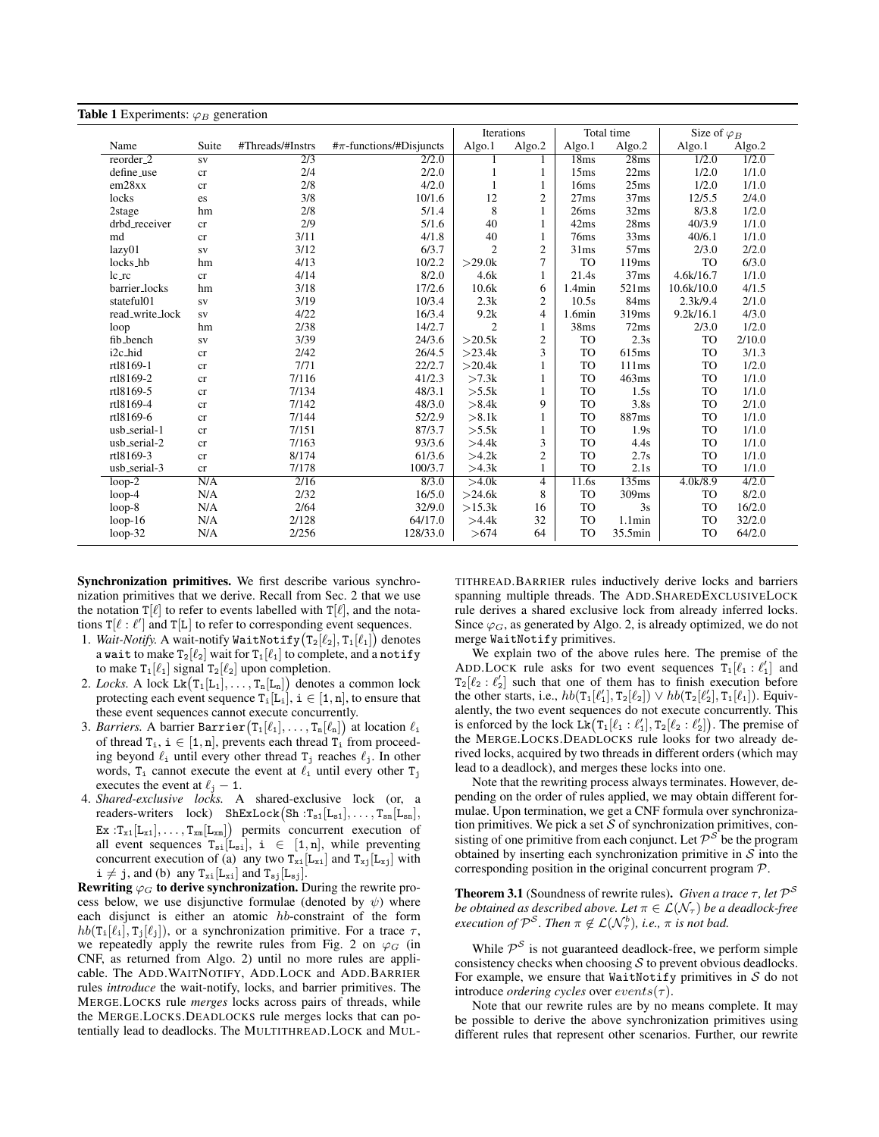<span id="page-5-0"></span>

|                      |                                                            |                   |                    | Iterations     |                  |           | Total time        | Size of $\varphi_B$ |        |
|----------------------|------------------------------------------------------------|-------------------|--------------------|----------------|------------------|-----------|-------------------|---------------------|--------|
| Name                 | #Threads/#Instrs<br>$\#\pi$ -functions/#Disjuncts<br>Suite |                   |                    | Algo.1         | Algo.2           | Algo.1    | Algo.2            | Algo.1              | Algo.2 |
| $reorder_2$          | <b>SV</b>                                                  | $\overline{2/3}$  | $\overline{2/2.0}$ |                |                  | 18ms      | 28ms              | 1/2.0               | 1/2.0  |
| define_use           | cr                                                         | 2/4               | 2/2.0              |                | 1                | 15ms      | 22ms              | 1/2.0               | 1/1.0  |
| em28xx               | cr                                                         | 2/8               | 4/2.0              | 1              | 1                | 16ms      | 25ms              | 1/2.0               | 1/1.0  |
| locks                | es                                                         | 3/8               | 10/1.6             | 12             | $\boldsymbol{2}$ | 27ms      | 37ms              | 12/5.5              | 2/4.0  |
| 2stage               | hm                                                         | 2/8               | 5/1.4              | 8              |                  | 26ms      | 32ms              | 8/3.8               | 1/2.0  |
| drbd_receiver        | cr                                                         | 2/9               | 5/1.6              | 40             | 1                | 42ms      | 28ms              | 40/3.9              | 1/1.0  |
| md                   | cr                                                         | 3/11              | 4/1.8              | 40             | 1                | 76ms      | 33ms              | 40/6.1              | 1/1.0  |
| lazy01               | <b>SV</b>                                                  | 3/12              | 6/3.7              | $\overline{2}$ | $\mathfrak{2}$   | 31ms      | 57ms              | 2/3.0               | 2/2.0  |
| locks_hb             | hm                                                         | 4/13              | 10/2.2             | >29.0k         | 7                | <b>TO</b> | 119ms             | <b>TO</b>           | 6/3.0  |
| $lc_Tc$              | cr                                                         | 4/14              | 8/2.0              | 4.6k           | 1                | 21.4s     | 37ms              | 4.6k/16.7           | 1/1.0  |
| barrier_locks        | hm                                                         | 3/18              | 17/2.6             | 10.6k          | 6                | 1.4min    | 521ms             | 10.6k/10.0          | 4/1.5  |
| stateful01           | <b>SV</b>                                                  | 3/19              | 10/3.4             | 2.3k           | $\overline{2}$   | 10.5s     | 84ms              | 2.3k/9.4            | 2/1.0  |
| read_write_lock      | ${\bf SV}$                                                 | 4/22              | 16/3.4             | 9.2k           | 4                | 1.6min    | 319 <sub>ms</sub> | 9.2k/16.1           | 4/3.0  |
| loop                 | hm                                                         | 2/38              | 14/2.7             | $\overline{c}$ | $\mathbf{1}$     | 38ms      | 72ms              | 2/3.0               | 1/2.0  |
| fib_bench            | ${\bf SV}$                                                 | 3/39              | 24/3.6             | >20.5k         | 2                | <b>TO</b> | 2.3s              | <b>TO</b>           | 2/10.0 |
| i <sub>2c</sub> _hid | cr                                                         | 2/42              | 26/4.5             | >23.4k         | 3                | <b>TO</b> | 615ms             | <b>TO</b>           | 3/1.3  |
| rtl8169-1            | cr                                                         | 7/71              | 22/2.7             | >20.4k         |                  | <b>TO</b> | 111ms             | <b>TO</b>           | 1/2.0  |
| rt18169-2            | cr                                                         | 7/116             | 41/2.3             | >7.3k          |                  | <b>TO</b> | 463ms             | <b>TO</b>           | 1/1.0  |
| rt18169-5            | cr                                                         | 7/134             | 48/3.1             | >5.5k          |                  | <b>TO</b> | 1.5s              | <b>TO</b>           | 1/1.0  |
| rt18169-4            | cr                                                         | 7/142             | 48/3.0             | >8.4k          | 9                | <b>TO</b> | 3.8s              | <b>TO</b>           | 2/1.0  |
| rt18169-6            | cr                                                         | 7/144             | 52/2.9             | >8.1k          |                  | <b>TO</b> | 887ms             | <b>TO</b>           | 1/1.0  |
| usb_serial-1         | cr                                                         | 7/151             | 87/3.7             | >5.5k          |                  | <b>TO</b> | 1.9s              | <b>TO</b>           | 1/1.0  |
| usb_serial-2         | cr                                                         | 7/163             | 93/3.6             | >4.4k          | 3                | <b>TO</b> | 4.4s              | TO                  | 1/1.0  |
| rt18169-3            | cr                                                         | 8/174             | 61/3.6             | >4.2k          | $\boldsymbol{2}$ | <b>TO</b> | 2.7s              | <b>TO</b>           | 1/1.0  |
| usb_serial-3         | cr                                                         | 7/178             | 100/3.7            | >4.3k          |                  | <b>TO</b> | 2.1s              | <b>TO</b>           | 1/1.0  |
| $100p-2$             | N/A                                                        | $\overline{2/16}$ | 8/3.0              | >4.0k          | 4                | 11.6s     | 135ms             | 4.0k/8.9            | 4/2.0  |
| $loop-4$             | N/A                                                        | 2/32              | 16/5.0             | >24.6k         | 8                | TO        | 309ms             | TO                  | 8/2.0  |
| $loop-8$             | N/A                                                        | 2/64              | 32/9.0             | >15.3k         | 16               | <b>TO</b> | 3s                | <b>TO</b>           | 16/2.0 |
| $loop-16$            | N/A                                                        | 2/128             | 64/17.0            | >4.4k          | 32               | <b>TO</b> | 1.1min            | <b>TO</b>           | 32/2.0 |
| $loop-32$            | N/A                                                        | 2/256             | 128/33.0           | >674           | 64               | <b>TO</b> | 35.5min           | <b>TO</b>           | 64/2.0 |

Synchronization primitives. We first describe various synchronization primitives that we derive. Recall from Sec. [2](#page-2-0) that we use the notation  $T[\ell]$  to refer to events labelled with  $T[\ell]$ , and the notations  $T[\ell : \ell']$  and  $T[L]$  to refer to corresponding event sequences.

- 1. *Wait-Notify*. A wait-notify WaitNotify  $(T_2[\ell_2], T_1[\ell_1])$  denotes a wait to make  $T_2[\ell_2]$  wait for  $T_1[\ell_1]$  to complete, and a notify to make  $T_1[\ell_1]$  signal  $T_2[\ell_2]$  upon completion.
- 2. *Locks*. A lock  $Lk(T_1[L_1], \ldots, T_n[L_n])$  denotes a common lock protecting each event sequence  $T_i[L_i], i \in [1, n]$ , to ensure that these event sequences cannot execute concurrently.
- 3. *Barriers*. A barrier Barrier $\big( \texttt T_1[\ell_1], \dots, \texttt T_n[\ell_n] \big)$  at location  $\ell_1$ of thread  $T_i$ ,  $i \in [1, n]$ , prevents each thread  $T_i$  from proceeding beyond  $\ell_i$  until every other thread  $T_j$  reaches  $\ell_j$ . In other words,  $T_i$  cannot execute the event at  $\ell_i$  until every other  $T_j$ executes the event at  $\ell_j - 1$ .
- 4. *Shared-exclusive locks.* A shared-exclusive lock (or, a readers-writers  $lock)$  ShExLock(Sh: $T_{s1}[L_{s1}], \ldots, T_{sn}[L_{sn}],$  $\text{Ex}:\text{T}_{\text{x1}}[\text{L}_{\text{x1}}], \ldots, \text{T}_{\text{xm}}[\text{L}_{\text{xm}}]$  permits concurrent execution of all event sequences  $T_{si}[L_{si}], i \in [1, n]$ , while preventing concurrent execution of (a) any two  $T_{xi}[L_{xi}]$  and  $T_{xi}[L_{xi}]$  with  $i \neq j$ , and (b) any  $T_{xi}[L_{xi}]$  and  $T_{sj}[L_{sj}]$ .

Rewriting  $\varphi_G$  to derive synchronization. During the rewrite process below, we use disjunctive formulae (denoted by  $\psi$ ) where each disjunct is either an atomic hb-constraint of the form  $hb(T_i[\ell_i], T_i[\ell_i])$ , or a synchronization primitive. For a trace  $\tau$ , we repeatedly apply the rewrite rules from Fig. [2](#page-6-1) on  $\varphi_G$  (in CNF, as returned from Algo. [2\)](#page-4-1) until no more rules are applicable. The ADD.WAITNOTIFY, ADD.LOCK and ADD.BARRIER rules *introduce* the wait-notify, locks, and barrier primitives. The MERGE.LOCKS rule *merges* locks across pairs of threads, while the MERGE.LOCKS.DEADLOCKS rule merges locks that can potentially lead to deadlocks. The MULTITHREAD.LOCK and MUL-

TITHREAD.BARRIER rules inductively derive locks and barriers spanning multiple threads. The ADD.SHAREDEXCLUSIVELOCK rule derives a shared exclusive lock from already inferred locks. Since  $\varphi_G$ , as generated by Algo. [2,](#page-4-1) is already optimized, we do not merge WaitNotify primitives.

We explain two of the above rules here. The premise of the ADD.LOCK rule asks for two event sequences  $T_1[\ell_1 : \ell'_1]$  and  $T_2[\ell_2 : \ell'_2]$  such that one of them has to finish execution before the other starts, i.e.,  $hb(T_1[\ell'_1], T_2[\ell_2]) \vee hb(T_2[\ell'_2], T_1[\ell_1])$ . Equivalently, the two event sequences do not execute concurrently. This is enforced by the lock  $\text{Lk}(T_1[\ell_1 : \ell'_1], T_2[\ell_2 : \ell'_2])$ . The premise of the MERGE.LOCKS.DEADLOCKS rule looks for two already derived locks, acquired by two threads in different orders (which may lead to a deadlock), and merges these locks into one.

Note that the rewriting process always terminates. However, depending on the order of rules applied, we may obtain different formulae. Upon termination, we get a CNF formula over synchronization primitives. We pick a set  $S$  of synchronization primitives, consisting of one primitive from each conjunct. Let  $\mathcal{P}^{\mathcal{S}}$  be the program obtained by inserting each synchronization primitive in  $S$  into the corresponding position in the original concurrent program P.

**Theorem 3.1** (Soundness of rewrite rules). *Given a trace*  $\tau$ *, let*  $\mathcal{P}^{\mathcal{S}}$ *be obtained as described above. Let*  $\pi \in \mathcal{L}(\mathcal{N}_{\tau})$  *be a deadlock-free execution of*  $\mathcal{P}^{\mathcal{S}}$ *. Then*  $\pi \notin \mathcal{L}(\mathcal{N}_{\tau}^{b})$ *, i.e.,*  $\pi$  *is not bad.* 

While  $P<sup>S</sup>$  is not guaranteed deadlock-free, we perform simple consistency checks when choosing  $S$  to prevent obvious deadlocks. For example, we ensure that WaitNotify primitives in  $S$  do not introduce *ordering cycles* over  $events(\tau)$ .

Note that our rewrite rules are by no means complete. It may be possible to derive the above synchronization primitives using different rules that represent other scenarios. Further, our rewrite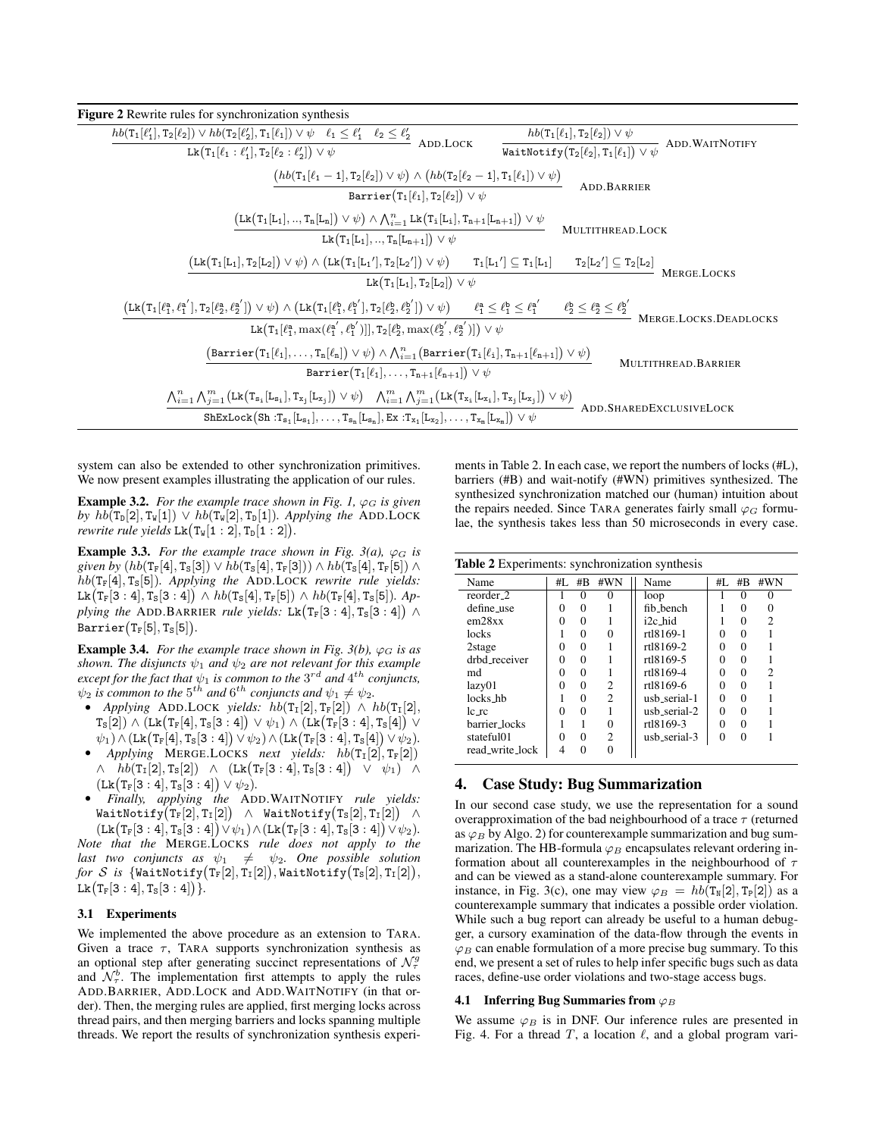<span id="page-6-1"></span>

| Figure 2 Rewrite rules for synchronization synthesis                                                                                                                                                                                                                                                                                                                      |                                                                                            |
|---------------------------------------------------------------------------------------------------------------------------------------------------------------------------------------------------------------------------------------------------------------------------------------------------------------------------------------------------------------------------|--------------------------------------------------------------------------------------------|
| $hb(\mathtt{T}_1[\ell'_1],\mathtt{T}_2[\ell_2]) \vee hb(\mathtt{T}_2[\ell'_2],\mathtt{T}_1[\ell_1]) \vee \psi \quad \ell_1 \leq \ell'_1 \quad \ell_2 \leq \ell'_2$                                                                                                                                                                                                        | $hb(T_1[\ell_1],T_2[\ell_2]) \vee \psi$                                                    |
| ADD.LOCK<br>$Lk(T_1[\ell_1:\ell'_1],T_2[\ell_2:\ell'_2]) \vee \psi$                                                                                                                                                                                                                                                                                                       | WaitNotify $(\overbrace{\text{Y}_2[\ell_2], \text{T}_1[\ell_1]) \vee \psi}$ ADD.WAITNOTIFY |
| $(hb(T_1[\ell_1-1],T_2[\ell_2]) \vee \psi) \wedge (hb(T_2[\ell_2-1],T_1[\ell_1]) \vee \psi)$                                                                                                                                                                                                                                                                              | ADD.BARRIER                                                                                |
| Barrier $(T_1[\ell_1], T_2[\ell_2]) \vee \psi$                                                                                                                                                                                                                                                                                                                            |                                                                                            |
| $\bigl(\mathtt{Lk}\bigl(\mathtt{T}_1[\mathtt{L}_1],,\mathtt{T}_n[\mathtt{L}_n]\bigr)\vee\psi\bigr)\wedge\bigwedge\nolimits_{i=1}^n\mathtt{Lk}\bigl(\mathtt{T}_i[\mathtt{L}_i],\mathtt{T}_{n+1}[\mathtt{L}_{n+1}]\bigr)\vee\psi$                                                                                                                                           | MULTITHREAD.LOCK                                                                           |
| $Lk(T_1[L_1], , T_n[L_{n+1}]) \vee \psi$                                                                                                                                                                                                                                                                                                                                  |                                                                                            |
| $(Lk(T_1[L_1], T_2[L_2]) \vee \psi) \wedge (Lk(T_1[L_1'], T_2[L_2']) \vee \psi)$ $T_1[L_1'] \subseteq T_1[L_1]$                                                                                                                                                                                                                                                           | $\mathbb{T}_2[L_2'] \subseteq \mathbb{T}_2[L_2]$ Merge.LOCKS                               |
| $Lk(T_1[L_1], T_2[L_2]) \vee \psi$                                                                                                                                                                                                                                                                                                                                        |                                                                                            |
| $\left(\text{Lk}\big(T_1[\ell_1^a,\ell_1^{a'}],T_2[\ell_2^a,\ell_2^{a'}]\big) \vee \psi\right) \wedge \left(\text{Lk}\big(T_1[\ell_1^b,\ell_1^{b'}],T_2[\ell_2^b,\ell_2^{b'}]\big) \vee \psi\right) \qquad \ell_1^a \leq \ell_1^b \leq \ell_1^{a'} \qquad \ell_2^b \leq \ell_2^a \leq \ell_2^{b'} \qquad \text{Merge.Locks.Deadocks}$                                     |                                                                                            |
| Lk $(T_1[\ell_1^a, \max(\ell_1^{a'}, \ell_1^{b'})] , T_2[\ell_2^b, \max(\ell_2^{b'}, \ell_2^{a'})] \cup \psi$                                                                                                                                                                                                                                                             |                                                                                            |
| $(\mathtt{Barrier}(T_1[\ell_1], \ldots, T_n[\ell_n]) \vee \psi) \wedge \bigwedge_{i=1}^n (\mathtt{Barrier}(T_i[\ell_i], T_{n+1}[\ell_{n+1}]) \vee \psi)$                                                                                                                                                                                                                  |                                                                                            |
| Barrier $(T_1[\ell_1], \ldots, T_{n+1}[\ell_{n+1}]) \vee \psi$                                                                                                                                                                                                                                                                                                            | MULTITHREAD. BARRIER                                                                       |
| $\bigwedge_{i=1}^n \bigwedge_{j=1}^m (\text{Lk}\big(\mathtt{T}_{\mathtt{s}_1}[\mathtt{L}_{\mathtt{s}_1}],\mathtt{T}_{\mathtt{x}_j}[\mathtt{L}_{\mathtt{x}_j}]\big) \vee \psi\big) \quad \bigwedge_{i=1}^m \bigwedge_{j=1}^m (\text{Lk}\big(\mathtt{T}_{\mathtt{x}_1}[\mathtt{L}_{\mathtt{x}_1}],\mathtt{T}_{\mathtt{x}_j}[\mathtt{L}_{\mathtt{x}_j}]\big) \vee \psi\big)$ | ADD.SHAREDEXCLUSIVELOCK                                                                    |
| $\texttt{ShExLock}\big(\texttt{Sh}:T_{s_1}[L_{s_1}],\ldots,T_{s_n}[L_{s_n}],\texttt{Ex}:T_{x_1}[L_{x_2}],\ldots,T_{x_m}[L_{x_m}]\big) \vee \psi$                                                                                                                                                                                                                          |                                                                                            |

system can also be extended to other synchronization primitives. We now present examples illustrating the application of our rules.

<span id="page-6-3"></span>**Example 3.2.** *For the example trace shown in Fig. [1,](#page-1-1)*  $\varphi_G$  *is given by*  $hb(T_{\text{D}}[2], T_{\text{W}}[1]) \vee hb(T_{\text{W}}[2], T_{\text{D}}[1])$ *. Applying the* ADD.LOCK *rewrite rule yields*  $Lk(T_w[1:2], T_D[1:2])$ .

**Example 3.3.** For the example trace shown in Fig. [3\(](#page-7-0)*a*),  $\varphi_G$  is *given by*  $(hb(T_F[4], T_S[3]) \vee hb(T_S[4], T_F[3])) \wedge hb(T_S[4], T_F[5]) \wedge$ hb(TF[4], TS[5])*. Applying the* ADD.LOCK *rewrite rule yields:*  $L\texttt{k}\big(\texttt{T}_\texttt{F}[3:4], \texttt{T}_\texttt{S}[3:4]\big) \wedge \textit{hb}(\texttt{T}_\texttt{S}[4], \texttt{T}_\texttt{F}[5]) \wedge \textit{hb}(\texttt{T}_\texttt{F}[4], \texttt{T}_\texttt{S}[5]).$  Applying the ADD.BARRIER rule yields:  $Lk(T_F[3:4], T_S[3:4]) \wedge$  $\texttt{Barrier}\big(\texttt T_{\texttt F}[5], \texttt T_{\texttt S}[5]\big).$ 

**Example 3.4.** *For the example trace shown in Fig. [3\(](#page-7-0)b),*  $\varphi_G$  *is as shown. The disjuncts*  $\psi_1$  *and*  $\psi_2$  *are not relevant for this example*  $\epsilon$ *xcept for the fact that*  $\psi_1$  *is common to the*  $3^{rd}$  *and*  $4^{th}$  *conjuncts,*  $\psi_2$  *is common to the*  $5^{th}$  *and*  $6^{th}$  *conjuncts and*  $\psi_1 \neq \psi_2$ *.* 

- *Applying* ADD.LOCK *yields:*  $hb(T_I[2], T_F[2]) \wedge hb(T_I[2],$  ${\tt T_s[2]})\wedge ({\tt Lk}({\tt T_F[4], T_s[3:4]}) \vee \psi_1) \wedge ({\tt Lk}({\tt T_F[3:4], T_s[4]}) \vee$  $\psi_1) \wedge (\text{Lk}(\text{Tr}[4], \text{T}_\text{s}[3:4]) \vee \psi_2) \wedge (\text{Lk}(\text{T}_\text{F}[3:4], \text{T}_\text{s}[4]) \vee \psi_2).$
- *Applying* MERGE.LOCKS *next yields:*  $hb(T_I[2], T_F[2])$  $\land \quad hb(\texttt{T}_{\texttt{I}}[2], \texttt{T}_{\texttt{S}}[2]) \;\;\land\;\; (\texttt{Lk}\big(\texttt{T}_{\texttt{F}}[3:4], \texttt{T}_{\texttt{S}}[3:4]\big) \;\;\lor\;\; \psi_1) \;\;\land\;\;$  $(Lk(T_F[3:4],T_S[3:4]) \vee \psi_2).$
- *Finally, applying the* ADD.WAITNOTIFY *rule yields:*  $\mathtt{WaitNotify(T_F[2], T_I[2])}$   $\wedge$   $\mathtt{WaitNotify(T_S[2], T_I[2])}$   $\wedge$

 $(Lk(T_F[3:4], T_S[3:4]) \vee \psi_1) \wedge (Lk(T_F[3:4], T_S[3:4]) \vee \psi_2).$ *Note that the* MERGE.LOCKS *rule does not apply to the last two conjuncts as*  $\psi_1 \neq \psi_2$ *. One possible solution*  ${\it for\,\, {\cal S}}$  *is*  $\{ {\tt WaitNotify}({\tt T_F}[2],{\tt T_I}[2]), {\tt WaitNotify}({\tt T_S}[2],{\tt T_I}[2]),$  ${\rm Lk}\big({\rm T}_{\rm F}[3:4],{\rm T}_{\rm S}[3:4]\big)\big\}.$ 

### 3.1 Experiments

We implemented the above procedure as an extension to TARA. Given a trace  $\tau$ , TARA supports synchronization synthesis as an optional step after generating succinct representations of  $\mathcal{N}_{\tau}^g$ and  $\mathcal{N}_{\tau}^{b}$ . The implementation first attempts to apply the rules ADD.BARRIER, ADD.LOCK and ADD.WAITNOTIFY (in that order). Then, the merging rules are applied, first merging locks across thread pairs, and then merging barriers and locks spanning multiple threads. We report the results of synchronization synthesis experi-

ments in [Table 2.](#page-6-2) In each case, we report the numbers of locks (#L), barriers (#B) and wait-notify (#WN) primitives synthesized. The synthesized synchronization matched our (human) intuition about the repairs needed. Since TARA generates fairly small  $\varphi_G$  formulae, the synthesis takes less than 50 microseconds in every case.

<span id="page-6-2"></span>

| Name                  | #L       | #B       | #WN            | Name                 | $#I$ .   | #B       | #WN            |
|-----------------------|----------|----------|----------------|----------------------|----------|----------|----------------|
| reorder <sub>-2</sub> |          | $\Omega$ | $\Omega$       | loop                 |          | 0        | 0              |
| define_use            | 0        | 0        |                | fib_bench            |          | 0        | 0              |
| em28xx                | 0        | 0        |                | i <sub>2c</sub> _hid |          | 0        | $\mathfrak{D}$ |
| locks                 |          | 0        | $\Omega$       | rt18169-1            | $\theta$ | $\Omega$ |                |
| 2stage                | $\Omega$ | 0        |                | rt18169-2            | 0        | 0        |                |
| drbd receiver         | 0        | 0        |                | rt18169-5            | $\theta$ | $\Omega$ |                |
| md                    | $\theta$ | 0        |                | rt18169-4            | 0        | 0        | $\mathfrak{D}$ |
| lazy01                | 0        | 0        | $\overline{c}$ | rt18169-6            | 0        | $\Omega$ |                |
| locks_hb              |          | 0        | $\mathfrak{D}$ | usb_serial-1         | $\Omega$ | 0        |                |
| le re                 | 0        | 0        |                | usb_serial-2         | 0        | $\Omega$ |                |
| barrier_locks         |          |          | 0              | rt18169-3            | 0        | $\Omega$ |                |
| stateful01            | $\Omega$ | $\Omega$ | $\overline{c}$ | usb_serial-3         | 0        | $\Omega$ |                |
| read_write_lock       | 4        | 0        | $\Omega$       |                      |          |          |                |

## <span id="page-6-0"></span>4. Case Study: Bug Summarization

In our second case study, we use the representation for a sound overapproximation of the bad neighbourhood of a trace  $\tau$  (returned as  $\varphi_B$  by Algo. [2\)](#page-4-1) for counterexample summarization and bug summarization. The HB-formula  $\varphi_B$  encapsulates relevant ordering information about all counterexamples in the neighbourhood of  $\tau$ and can be viewed as a stand-alone counterexample summary. For instance, in Fig. [3\(](#page-7-0)c), one may view  $\varphi_B = hb(T_N[2], T_P[2])$  as a counterexample summary that indicates a possible order violation. While such a bug report can already be useful to a human debugger, a cursory examination of the data-flow through the events in  $\varphi_B$  can enable formulation of a more precise bug summary. To this end, we present a set of rules to help infer specific bugs such as data races, define-use order violations and two-stage access bugs.

## 4.1 Inferring Bug Summaries from  $\varphi_B$

We assume  $\varphi_B$  is in DNF. Our inference rules are presented in Fig. [4.](#page-8-0) For a thread T, a location  $\ell$ , and a global program vari-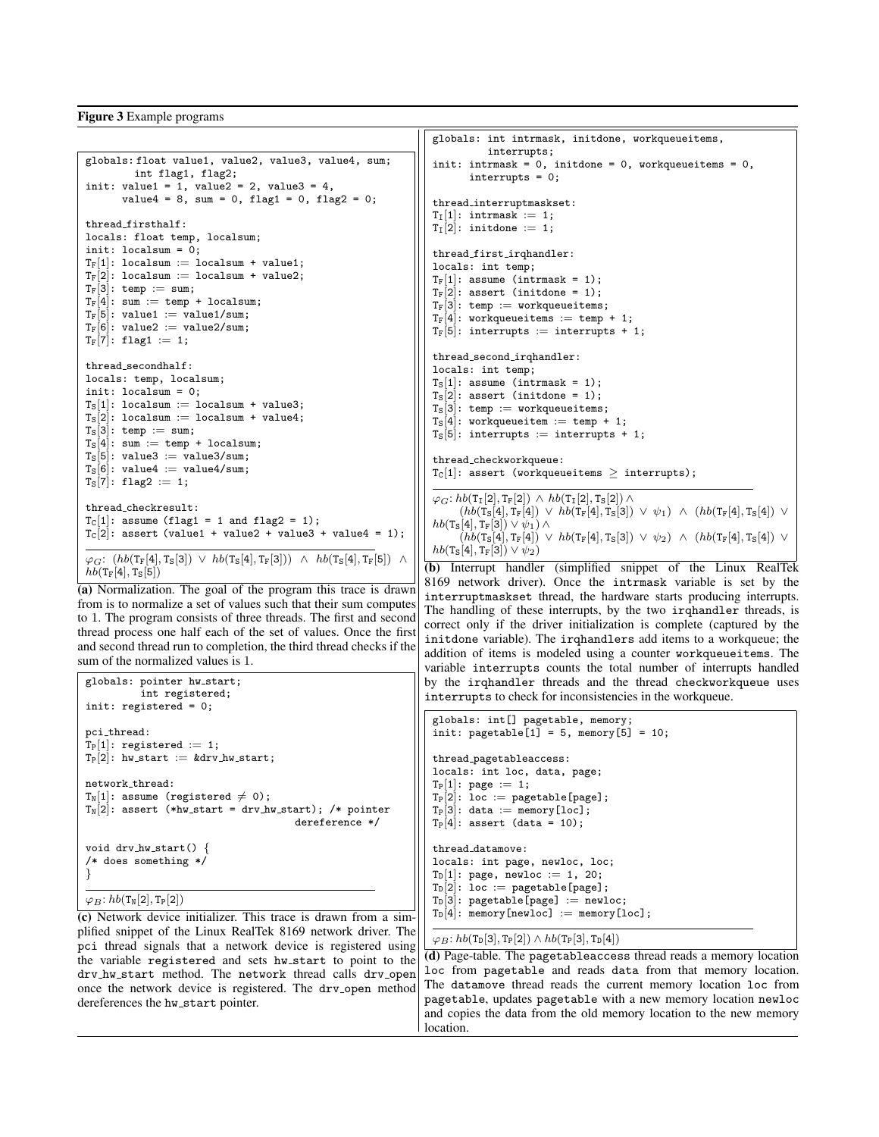### <span id="page-7-0"></span>Figure 3 Example programs

```
globals: float value1, value2, value3, value4, sum;
          int flag1, flag2;
init: value1 = 1, value2 = 2, value3 = 4,
       value4 = 8, sum = 0, flag1 = 0, flag2 = 0;
thread firsthalf:
locals: float temp, localsum;
init: localsum = 0;
T_F[1]: localsum := localsum + value1;
T_F[2]: localsum := localsum + value2;
T_F[3]: temp := sum;
T_F[4]: sum := temp + localsum;
T_F[5]: value1 := value1/sum;
T_F[6]: value2 := value2/sum;
T_F[7]: flag1 := 1;
thread secondhalf:
locals: temp, localsum;
init: localsum = 0:
T_S[1]: localsum := localsum + value3;
T_S[2]: localsum := localsum + value4;
T_S[3]: temp := sum;
T_S[4]: sum := temp + localsum;
T_S[5]: value3 := value3/sum;
T_S[6]: value4 := value4/sum;
T_S[7]: flag2 := 1;
thread checkresult:
T_C[1]: assume (flag1 = 1 and flag2 = 1);
T_C[2]: assert (value1 + value2 + value3 + value4 = 1);
\varphi_G\colon\left(\textit{hb}(\texttt{T}_\texttt{F}[4],\texttt{T}_\texttt{S}[3]) \;\vee\; \textit{hb}(\texttt{T}_\texttt{S}[4],\texttt{T}_\texttt{F}[3]) \;\wedge\; \textit{hb}(\texttt{T}_\texttt{S}[4],\texttt{T}_\texttt{F}[5]) \;\;\wedge\;hb(T_F[4], T_S[5])
```
(a) Normalization. The goal of the program this trace is drawn from is to normalize a set of values such that their sum computes to 1. The program consists of three threads. The first and second thread process one half each of the set of values. Once the first and second thread run to completion, the third thread checks if the sum of the normalized values is 1.

```
globals: pointer hw_start;
         int registered;
init: registered = 0;
\verb|pci_thread|:T_P[1]: registered := 1;
T_P[2]: hw_start := &drv_hw_start;
network thread:
T_N[1]: assume (registered \neq 0);
T_N[2]: assert (*hw_start = drv_hw_start); /* pointer
                                      dereference */
void drv_hw_start() {
/* does something */
}
```
 $\varphi_B: hb(T_N[2], T_P[2])$ 

(c) Network device initializer. This trace is drawn from a simplified snippet of the Linux RealTek 8169 network driver. The pci thread signals that a network device is registered using the variable registered and sets hw start to point to the dry hw\_start method. The network thread calls dry\_open once the network device is registered. The drv<sub>-open</sub> method dereferences the hw\_start pointer.

```
globals: int intrmask, initdone, workqueueitems,
          interrupts;
init: intrmask = 0, initdone = 0, workqueueitems = 0,
       interrupts = 0;
thread interruptmaskset:
T_I[1]: intrmask := 1;
T_I[2]: initdone := 1;
thread first irqhandler:
locals: int temp;
T_F[1]: assume (intrmask = 1);
T_F[2]: assert (initdone = 1);
T_F[3]: temp := workqueueitems;
T_F[4]: workqueueitems := temp + 1;
T_F[5]: interrupts := interrupts + 1;
thread_second_irqhandler:
locals: int temp;
T_S[1]: assume (intrmask = 1);
T_S[2]: assert (initdone = 1);
T_S[3]: temp := workqueueitems;
T_S[4]: workqueueitem := temp + 1;
T_S[5]: interrupts := interrupts + 1;
thread checkworkqueue:
T_C[1]: assert (workqueueitems \geq interrupts);
\varphi_G: hb(T_I[2], T_F[2]) \wedge hb(T_I[2], T_S[2]) \wedge(hb(\text{Ts}[4], \text{Ts}[4]) \vee h\text{b}(\text{Ts}[4], \text{Ts}[3]) \vee \psi_1) \wedge (hb(\text{Ts}[4], \text{Ts}[4]) \vee
```
correct only if the driver initialization is complete (captured by the initdone variable). The irqhandlers add items to a workqueue; the addition of items is modeled using a counter workqueueitems. The variable interrupts counts the total number of interrupts handled by the irqhandler threads and the thread checkworkqueue uses interrupts to check for inconsistencies in the workqueue. globals: int[] pagetable, memory; init: pagetable $[1] = 5$ , memory $[5] = 10$ ; thread pagetableaccess: locals: int loc, data, page;  $T_P[1]$ : page := 1;  $T_P[2]$ : loc := pagetable[page];

 $(hb(T_S[4], T_F[4]) \vee hb(T_F[4], T_S[3]) \vee \psi_2) \wedge (hb(T_F[4], T_S[4]) \vee$ 

(b) Interrupt handler (simplified snippet of the Linux RealTek 8169 network driver). Once the intrmask variable is set by the interruptmaskset thread, the hardware starts producing interrupts. The handling of these interrupts, by the two irghandler threads, is

```
T_P[3]: data := memory [loc];
T_{P}[4]: assert (data = 10);
thread datamove:
locals: int page, newloc, loc;
T_D[1]: page, newloc := 1, 20;
T_D[2]: loc := pagetable[page];
T_D[3]: pagetable[page] := newloc;
T_D[4]: memory[newloc] := memory[loc];
```
 $hb(\mathtt{T_S[4]},\mathtt{T_F[3]}) \vee \psi_1) \wedge$ 

 $hb(T_S[4], T_F[3]) \vee \psi_2)$ 

```
\varphi_B: hb(T_D[3], T_P[2]) \wedge hb(T_P[3], T_D[4])
```
(d) Page-table. The pagetableaccess thread reads a memory location loc from pagetable and reads data from that memory location. The datamove thread reads the current memory location loc from pagetable, updates pagetable with a new memory location newloc and copies the data from the old memory location to the new memory location.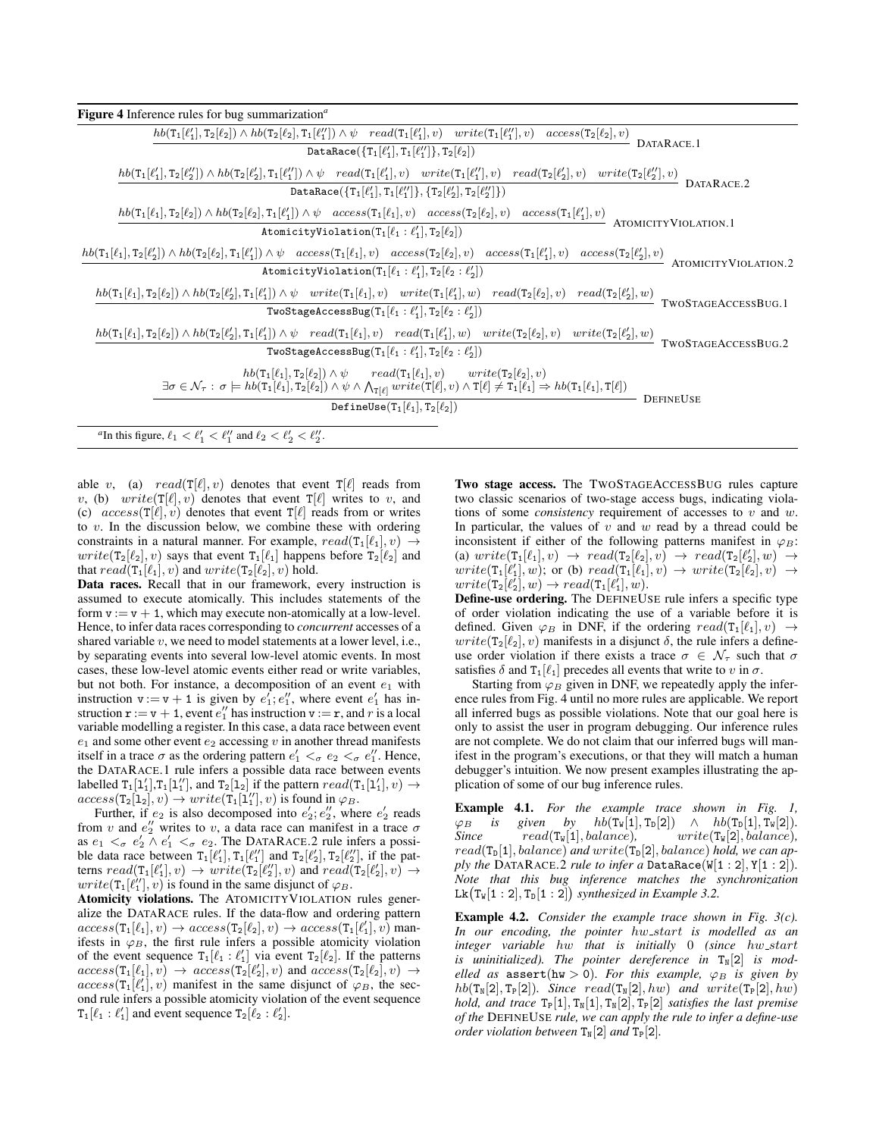<span id="page-8-0"></span>

| <b>Figure 4</b> Inference rules for bug summarization <sup><math>a</math></sup>                                                                                                                                                                                                                                                                                                                                                                                                                     |
|-----------------------------------------------------------------------------------------------------------------------------------------------------------------------------------------------------------------------------------------------------------------------------------------------------------------------------------------------------------------------------------------------------------------------------------------------------------------------------------------------------|
| $\overbrace{hb(\texttt{T}_1[\ell'_1],\texttt{T}_2[\ell_2])\wedge hb(\texttt{T}_2[\ell_2],\texttt{T}_1[\ell''_1])\wedge\psi\quad read(\texttt{T}_1[\ell'_1],v)\quad write(\texttt{T}_1[\ell''_1],v)\quad access(\texttt{T}_2[\ell_2],v)}$ DATARACE.1                                                                                                                                                                                                                                                 |
| DataRace( $\{T_1[\ell'_1], T_1[\ell''_1]\}, T_2[\ell_2])$                                                                                                                                                                                                                                                                                                                                                                                                                                           |
| $\frac{hb(\mathsf{T}_1[\ell_1'],\mathsf{T}_2[\ell_2'])\wedge hb(\mathsf{T}_2[\ell_2'],\mathsf{T}_1[\ell_1'])\wedge\psi\quad read(\mathsf{T}_1[\ell_1'],v)\quad write(\mathsf{T}_1[\ell_1''],v)\quad read(\mathsf{T}_2[\ell_2'],v)\quad write(\mathsf{T}_2[\ell_2''],v)}{\mathsf{DATARACE.2}}$<br>DataRace( $\{T_1[\ell'_1], T_1[\ell''_1]\}, \{T_2[\ell'_2], T_2[\ell''_2]\})$ )                                                                                                                    |
| $\frac{hb(T_1[\ell_1],T_2[\ell_2])\wedge hb(T_2[\ell_2],T_1[\ell_1'])\wedge\psi\quad access(T_1[\ell_1],v)\quad access(T_2[\ell_2],v)\quad access(T_1[\ell_1'],v)}{\sim} \text{ATOMICITYVIOLATION.1}$<br>AtomicityViolation(T <sub>1</sub> [ $\ell_1 : \ell'_1$ ], T <sub>2</sub> [ $\ell_2$ ])                                                                                                                                                                                                     |
| $\frac{hb(\texttt{T}_1[\ell_1],\texttt{T}_2[\ell'_2])\wedge hb(\texttt{T}_2[\ell_2],\texttt{T}_1[\ell'_1])\wedge\psi\quad access(\texttt{T}_1[\ell_1],v)\quad access(\texttt{T}_2[\ell_2],v)\quad access(\texttt{T}_1[\ell'_1],v)\quad access(\texttt{T}_2[\ell'_2],v)}{\texttt{access}(\texttt{T}_2[\ell'_1],v)\quad access(\texttt{T}_2[\ell'_2],v)}$<br>AtomicityViolation( $T_1[\ell_1:\ell'_1], T_2[\ell_2:\ell'_2])$                                                                          |
| $\frac{hb(\texttt{T}_1[\ell_1],\texttt{T}_2[\ell_2])\wedge hb(\texttt{T}_2[\ell_2'],\texttt{T}_1[\ell_1'])\wedge\psi\quad write(\texttt{T}_1[\ell_1],v)\quad write(\texttt{T}_1[\ell_1'],w)\quad read(\texttt{T}_2[\ell_2],v)\quad read(\texttt{T}_2[\ell_2'],w)}{\dots}$<br>TwoStageAccessBug(T <sub>1</sub> [ $\ell_1 : \ell'_1$ ], T <sub>2</sub> [ $\ell_2 : \ell'_2$ ])                                                                                                                        |
| $hb(\texttt{T}_1[\ell_1],\texttt{T}_2[\ell_2]) \wedge hb(\texttt{T}_2[\ell_2'],\texttt{T}_1[\ell_1']) \wedge \psi \quad read(\texttt{T}_1[\ell_1],v) \quad read(\texttt{T}_1[\ell_1'],w) \quad write(\texttt{T}_2[\ell_2],v) \quad write(\texttt{T}_2[\ell_2'],w) \quad \texttt{TwoStageAccessBuG.2}$<br>TwoStageAccessBug(T <sub>1</sub> [ $\ell_1 : \ell'_1$ ], T <sub>2</sub> [ $\ell_2 : \ell'_2$ ])                                                                                            |
| $\label{eq:2} \begin{array}{ll} h b(\mathsf{T}_1[\ell_1],\mathsf{T}_2[\ell_2]) \wedge \psi \quad \quad read(\mathsf{T}_1[\ell_1],v) \quad \quad write(\mathsf{T}_2[\ell_2],v) \\ \exists \sigma \in \mathcal{N}_\tau: \, \sigma \models h b(\mathsf{T}_1[\ell_1],\mathsf{T}_2[\ell_2]) \wedge \psi \wedge \bigwedge_{\mathsf{T}[\ell]} write(\mathsf{T}[\ell],v) \wedge \mathsf{T}[\ell] \neq \mathsf{T}_1[\ell_1] \Rightarrow h b(\mathsf{T}_1[\ell_1],\mathsf{T}[\ell]) \end{array}$<br>DEFINEUSE |
| DefineUse $(T_1[\ell_1], T_2[\ell_2])$                                                                                                                                                                                                                                                                                                                                                                                                                                                              |
| "In this figure, $\ell_1 < \ell'_1 < \ell''_1$ and $\ell_2 < \ell'_2 < \ell''_2$ .                                                                                                                                                                                                                                                                                                                                                                                                                  |

<span id="page-8-1"></span>able v, (a)  $read(T[\ell], v)$  denotes that event  $T[\ell]$  reads from v, (b) write( $T[\ell], v$ ) denotes that event  $T[\ell]$  writes to v, and (c)  $access(T[\ell], v)$  denotes that event  $T[\ell]$  reads from or writes to  $v$ . In the discussion below, we combine these with ordering constraints in a natural manner. For example,  $read(T_1[\ell_1], v) \rightarrow$  $write(T_2[\ell_2], v)$  says that event  $T_1[\ell_1]$  happens before  $T_2[\ell_2]$  and that  $read(\mathsf{T}_1[\ell_1], v)$  and  $write(\mathsf{T}_2[\ell_2], v)$  hold.

Data races. Recall that in our framework, every instruction is assumed to execute atomically. This includes statements of the form  $v := v + 1$ , which may execute non-atomically at a low-level. Hence, to infer data races corresponding to *concurrent* accesses of a shared variable  $v$ , we need to model statements at a lower level, i.e., by separating events into several low-level atomic events. In most cases, these low-level atomic events either read or write variables, but not both. For instance, a decomposition of an event  $e_1$  with instruction  $\mathbf{v} := \mathbf{v} + \mathbf{1}$  is given by  $e_1$ ;  $e_1$ , where event  $e_1$  has instruction  $\mathbf{r} := \mathbf{v} + \mathbf{1}$ , event  $e_1''$  has instruction  $\mathbf{v} := \mathbf{r}$ , and r is a local variable modelling a register. In this case, a data race between event  $e_1$  and some other event  $e_2$  accessing v in another thread manifests itself in a trace  $\sigma$  as the ordering pattern  $e'_1 <_{\sigma} e_2 <_{\sigma} e''_1$ . Hence, the DATARACE.1 rule infers a possible data race between events labelled  $T_1[1'_1], T_1[1''_1]$ , and  $T_2[1_2]$  if the pattern  $read(T_1[1'_1], v) \rightarrow$  $access(\texttt{T}_2[\texttt{l}_2], v) \rightarrow write(\texttt{T}_1[\texttt{l}_1''], v)$  is found in  $\varphi_B$ .

Further, if  $e_2$  is also decomposed into  $e'_2$ ;  $e''_2$ , where  $e'_2$  reads from v and  $e_2''$  writes to v, a data race can manifest in a trace  $\sigma$ as  $e_1 <_{\sigma} e'_2 \wedge e'_1 <_{\sigma} e_2$ . The DATARACE.2 rule infers a possible data race between  $T_1[\ell'_1], T_1[\ell''_1]$  and  $T_2[\ell'_2], T_2[\ell''_2]$ , if the patterns  $read(T_1[\ell'_1], v) \rightarrow write(T_2[\ell''_2], v)$  and  $read(T_2[\ell'_2], v) \rightarrow$  $write(\mathsf{T}_1[\ell''_1], v)$  is found in the same disjunct of  $\varphi_B$ .

Atomicity violations. The ATOMICITYVIOLATION rules generalize the DATARACE rules. If the data-flow and ordering pattern  $access(\texttt{T}_1[\ell_1], v) \rightarrow access(\texttt{T}_2[\ell_2], v) \rightarrow access(\texttt{T}_1[\ell'_1], v)$  manifests in  $\varphi_B$ , the first rule infers a possible atomicity violation of the event sequence  $T_1[\ell_1 : \ell'_1]$  via event  $T_2[\ell_2]$ . If the patterns  $access(\texttt{T}_1[\ell_1], v) \rightarrow access(\texttt{T}_2[\ell'_2], v)$  and  $access(\texttt{T}_2[\ell_2], v) \rightarrow$  $access(T_1[\ell'_1], v)$  manifest in the same disjunct of  $\varphi_B$ , the second rule infers a possible atomicity violation of the event sequence  $T_1[\ell_1 : \ell'_1]$  and event sequence  $T_2[\ell_2 : \ell'_2]$ .

Two stage access. The TWOSTAGEACCESSBUG rules capture two classic scenarios of two-stage access bugs, indicating violations of some *consistency* requirement of accesses to v and w. In particular, the values of  $v$  and  $w$  read by a thread could be inconsistent if either of the following patterns manifest in  $\varphi_B$ : (a)  $write(\mathsf{T}_1[\ell_1], v) \rightarrow read(\mathsf{T}_2[\ell_2], v) \rightarrow read(\mathsf{T}_2[\ell'_2], w) \rightarrow$  $write(T_1[\ell'_1], w);$  or (b)  $read(T_1[\ell_1], v) \rightarrow write(T_2[\ell_2], v) \rightarrow$  $write(T_2[\ell'_2], w) \rightarrow read(T_1[\ell'_1], w).$ 

Define-use ordering. The DEFINEUSE rule infers a specific type of order violation indicating the use of a variable before it is defined. Given  $\varphi_B$  in DNF, if the ordering  $read(T_1[\ell_1], v) \rightarrow$  $write(\mathsf{T}_2[\ell_2], v)$  manifests in a disjunct  $\delta$ , the rule infers a defineuse order violation if there exists a trace  $\sigma \in \mathcal{N}_{\tau}$  such that  $\sigma$ satisfies  $\delta$  and  $T_1[\ell_1]$  precedes all events that write to v in  $\sigma$ .

Starting from  $\varphi_B$  given in DNF, we repeatedly apply the inference rules from Fig. [4](#page-8-0) until no more rules are applicable. We report all inferred bugs as possible violations. Note that our goal here is only to assist the user in program debugging. Our inference rules are not complete. We do not claim that our inferred bugs will manifest in the program's executions, or that they will match a human debugger's intuition. We now present examples illustrating the application of some of our bug inference rules.

Example 4.1. *For the example trace shown in Fig. [1,](#page-1-1)*  $\varphi_B$  *is given by hb*(T<sub>W</sub>[1], T<sub>D</sub>[2])  $\wedge$  *hb*(T<sub>D</sub>[1], T<sub>W</sub>[2])*. Since*  $read(T_w[1], balance)$ ,  $write(T_w[2], balance)$ ,  $read(T_D[1], balance)$  *and*  $write(T_D[2], balance)$  *hold, we can apply the* DATARACE.2 *rule to infer a* DataRace(W[1 : 2], Y[1 : 2])*. Note that this bug inference matches the synchronization*  $Lk(T_w[1:2], T_D[1:2])$  synthesized in Example [3.2.](#page-6-3)

Example 4.2. *Consider the example trace shown in Fig. [3\(](#page-7-0)c). In our encoding, the pointer* hw start *is modelled as an integer variable* hw *that is initially* 0 *(since* hw start is uninitialized). The pointer dereference in T<sub>N</sub>[2] is mod*elled as* assert(hw > 0). For this example,  $\varphi_B$  is given by  $hb(T_N[2], T_P[2])$ *. Since* read( $T_N[2], hw$ ) and write( $T_P[2], hw$ ) *hold, and trace*  $T_P[1], T_N[1], T_N[2], T_P[2]$  *satisfies the last premise of the* DEFINEUSE *rule, we can apply the rule to infer a define-use order violation between*  $T_N[2]$  *and*  $T_P[2]$ *.*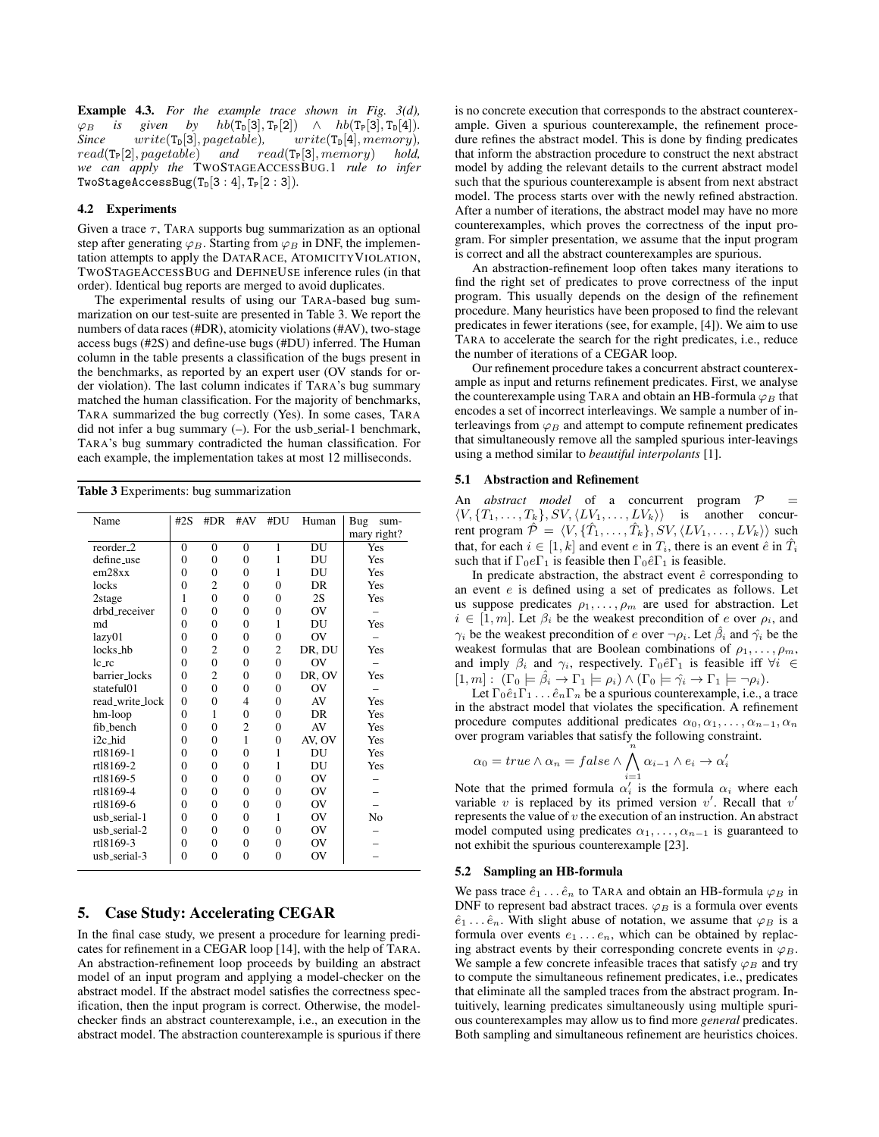Example 4.3. *For the example trace shown in Fig. [3\(](#page-7-0)d),*  $\varphi_B$  *is given by hb*(T<sub>D</sub>[3], T<sub>P</sub>[2])  $\wedge$  *hb*(T<sub>P</sub>[3], T<sub>D</sub>[4])*. Since write*(T<sub>D</sub>[3], *pagetable*)*, write*(T<sub>D</sub>[4], *memory*)*,*  $write(T<sub>D</sub>[3], pagetable),$  $read(\mathbf{T_P}[2], pagetable)$  *and*  $read(\mathbf{T_P}[3], memory)$  *hold, we can apply the* TWOSTAGEACCESSBUG.1 *rule to infer*  $TwoStageAccessBug(T_D[3:4], T_P[2:3]).$ 

## 4.2 Experiments

Given a trace  $\tau$ , TARA supports bug summarization as an optional step after generating  $\varphi_B$ . Starting from  $\varphi_B$  in DNF, the implementation attempts to apply the DATARACE, ATOMICITYVIOLATION, TWOSTAGEACCESSBUG and DEFINEUSE inference rules (in that order). Identical bug reports are merged to avoid duplicates.

The experimental results of using our TARA-based bug summarization on our test-suite are presented in [Table 3.](#page-9-1) We report the numbers of data races (#DR), atomicity violations (#AV), two-stage access bugs (#2S) and define-use bugs (#DU) inferred. The Human column in the table presents a classification of the bugs present in the benchmarks, as reported by an expert user (OV stands for order violation). The last column indicates if TARA's bug summary matched the human classification. For the majority of benchmarks, TARA summarized the bug correctly (Yes). In some cases, TARA did not infer a bug summary (-). For the usb serial-1 benchmark, TARA's bug summary contradicted the human classification. For each example, the implementation takes at most 12 milliseconds.

Table 3 Experiments: bug summarization

<span id="page-9-1"></span>

| Name                  | #2S            | #DR            | #AV            | #DU            | Human          | Bug<br>sum-<br>mary right? |
|-----------------------|----------------|----------------|----------------|----------------|----------------|----------------------------|
| reorder <sub>-2</sub> | $\overline{0}$ | $\mathbf{0}$   | $\overline{0}$ | $\mathbf{1}$   | DU             | Yes                        |
| define_use            | $\theta$       | $\overline{0}$ | $\Omega$       | 1              | DU             | Yes                        |
| em28xx                | $\theta$       | $\overline{0}$ | 0              | 1              | DU             | Yes                        |
| locks                 | $\theta$       | $\overline{c}$ | $\theta$       | $\theta$       | DR             | Yes                        |
| 2stage                | 1              | $\Omega$       | $\Omega$       | 0              | 2S             | Yes                        |
| drbd receiver         | $\theta$       | $\theta$       | $\theta$       | $\overline{0}$ | OV             |                            |
| md                    | $\theta$       | $\theta$       | $\theta$       | 1              | DU             | Yes                        |
| lazy01                | $\theta$       | $\theta$       | $\theta$       | $\theta$       | O <sub>V</sub> |                            |
| locks_hb              | $\theta$       | $\overline{2}$ | $\theta$       | $\overline{2}$ | DR, DU         | Yes                        |
| $lc$ $rc$             | $\theta$       | $\overline{0}$ | $\theta$       | $\theta$       | OV             |                            |
| barrier_locks         | $\theta$       | $\overline{2}$ | $\theta$       | $\overline{0}$ | DR, OV         | Yes                        |
| stateful01            | $\theta$       | $\theta$       | $\theta$       | $\theta$       | OV             |                            |
| read_write_lock       | $\theta$       | $\theta$       | 4              | $\theta$       | AV             | Yes                        |
| hm-loop               | $\theta$       | 1              | $\Omega$       | $\overline{0}$ | <b>DR</b>      | Yes                        |
| fib_bench             | $\theta$       | $\overline{0}$ | $\overline{c}$ | $\theta$       | AV             | Yes                        |
| i <sub>2c_hid</sub>   | $\theta$       | $\overline{0}$ | 1              | $\overline{0}$ | AV, OV         | Yes                        |
| rt18169-1             | $\theta$       | $\overline{0}$ | $\theta$       | 1              | DU             | Yes                        |
| rt18169-2             | $\theta$       | $\theta$       | $\theta$       | 1              | DU             | Yes                        |
| rtl8169-5             | $\theta$       | $\theta$       | $\theta$       | $\theta$       | OV             |                            |
| rt18169-4             | $\theta$       | $\theta$       | $\theta$       | $\theta$       | OV             |                            |
| rt18169-6             | $\theta$       | $\theta$       | $\Omega$       | $\theta$       | O <sub>V</sub> |                            |
| usb_serial-1          | $\theta$       | $\theta$       | $\theta$       | 1              | O <sub>V</sub> | No                         |
| usb_serial-2          | $\theta$       | $\theta$       | $\theta$       | $\theta$       | OV             |                            |
| rt18169-3             | $\theta$       | $\theta$       | $\theta$       | $\overline{0}$ | O <sub>V</sub> |                            |
| usb_serial-3          | $\theta$       | $\theta$       | $\theta$       | $\theta$       | OV             |                            |
|                       |                |                |                |                |                |                            |

# <span id="page-9-0"></span>5. Case Study: Accelerating CEGAR

In the final case study, we present a procedure for learning predicates for refinement in a CEGAR loop [\[14\]](#page-11-18), with the help of TARA. An abstraction-refinement loop proceeds by building an abstract model of an input program and applying a model-checker on the abstract model. If the abstract model satisfies the correctness specification, then the input program is correct. Otherwise, the modelchecker finds an abstract counterexample, i.e., an execution in the abstract model. The abstraction counterexample is spurious if there is no concrete execution that corresponds to the abstract counterexample. Given a spurious counterexample, the refinement procedure refines the abstract model. This is done by finding predicates that inform the abstraction procedure to construct the next abstract model by adding the relevant details to the current abstract model such that the spurious counterexample is absent from next abstract model. The process starts over with the newly refined abstraction. After a number of iterations, the abstract model may have no more counterexamples, which proves the correctness of the input program. For simpler presentation, we assume that the input program is correct and all the abstract counterexamples are spurious.

An abstraction-refinement loop often takes many iterations to find the right set of predicates to prove correctness of the input program. This usually depends on the design of the refinement procedure. Many heuristics have been proposed to find the relevant predicates in fewer iterations (see, for example, [\[4\]](#page-11-11)). We aim to use TARA to accelerate the search for the right predicates, i.e., reduce the number of iterations of a CEGAR loop.

Our refinement procedure takes a concurrent abstract counterexample as input and returns refinement predicates. First, we analyse the counterexample using TARA and obtain an HB-formula  $\varphi_B$  that encodes a set of incorrect interleavings. We sample a number of interleavings from  $\varphi_B$  and attempt to compute refinement predicates that simultaneously remove all the sampled spurious inter-leavings using a method similar to *beautiful interpolants* [\[1\]](#page-11-12).

#### 5.1 Abstraction and Refinement

An *abstract model* of a concurrent program  $P$  $\langle V, \{T_1, \ldots, T_k\}, SV, \langle LV_1, \ldots, LV_k \rangle \rangle$  is another concurrent program  $\hat{\mathcal{P}} = \langle V, {\{\hat{T}_1, \dots, \hat{T}_k\}}, SV, \langle LV_1, \dots, LV_k \rangle \rangle$  such that, for each  $i \in [1, k]$  and event e in  $T_i$ , there is an event  $\hat{e}$  in  $\hat{T}_i$ such that if  $\Gamma_0e\Gamma_1$  is feasible then  $\Gamma_0\hat{e}\Gamma_1$  is feasible.

In predicate abstraction, the abstract event  $\hat{e}$  corresponding to an event e is defined using a set of predicates as follows. Let us suppose predicates  $\rho_1, \ldots, \rho_m$  are used for abstraction. Let  $i \in [1, m]$ . Let  $\beta_i$  be the weakest precondition of e over  $\rho_i$ , and  $\gamma_i$  be the weakest precondition of e over  $\neg \rho_i$ . Let  $\hat{\beta}_i$  and  $\hat{\gamma}_i$  be the weakest formulas that are Boolean combinations of  $\rho_1, \ldots, \rho_m$ , and imply  $\beta_i$  and  $\gamma_i$ , respectively.  $\Gamma_0 \hat{e} \Gamma_1$  is feasible iff  $\forall i \in$  $[1, m] : (\Gamma_0 \models \hat{\beta}_i \rightarrow \Gamma_1 \models \rho_i) \wedge (\Gamma_0 \models \hat{\gamma}_i \rightarrow \Gamma_1 \models \neg \rho_i).$ 

Let  $\Gamma_0 \hat{e}_1 \Gamma_1 \dots \hat{e}_n \Gamma_n$  be a spurious counterexample, i.e., a trace in the abstract model that violates the specification. A refinement procedure computes additional predicates  $\alpha_0, \alpha_1, \ldots, \alpha_{n-1}, \alpha_n$ over program variables that satisfy the following constraint.

$$
\alpha_0 = true \land \alpha_n = false \land \bigwedge_{i=1}^n \alpha_{i-1} \land e_i \to \alpha'_i
$$

Note that the primed formula  $\alpha'_i$  is the formula  $\alpha_i$  where each variable  $v$  is replaced by its primed version  $v'$ . Recall that  $v'$ represents the value of  $v$  the execution of an instruction. An abstract model computed using predicates  $\alpha_1, \ldots, \alpha_{n-1}$  is guaranteed to not exhibit the spurious counterexample [\[23\]](#page-11-19).

#### 5.2 Sampling an HB-formula

We pass trace  $\hat{e}_1 \dots \hat{e}_n$  to TARA and obtain an HB-formula  $\varphi_B$  in DNF to represent bad abstract traces.  $\varphi_B$  is a formula over events  $\hat{e}_1 \dots \hat{e}_n$ . With slight abuse of notation, we assume that  $\varphi_B$  is a formula over events  $e_1 \ldots e_n$ , which can be obtained by replacing abstract events by their corresponding concrete events in  $\varphi_B$ . We sample a few concrete infeasible traces that satisfy  $\varphi_B$  and try to compute the simultaneous refinement predicates, i.e., predicates that eliminate all the sampled traces from the abstract program. Intuitively, learning predicates simultaneously using multiple spurious counterexamples may allow us to find more *general* predicates. Both sampling and simultaneous refinement are heuristics choices.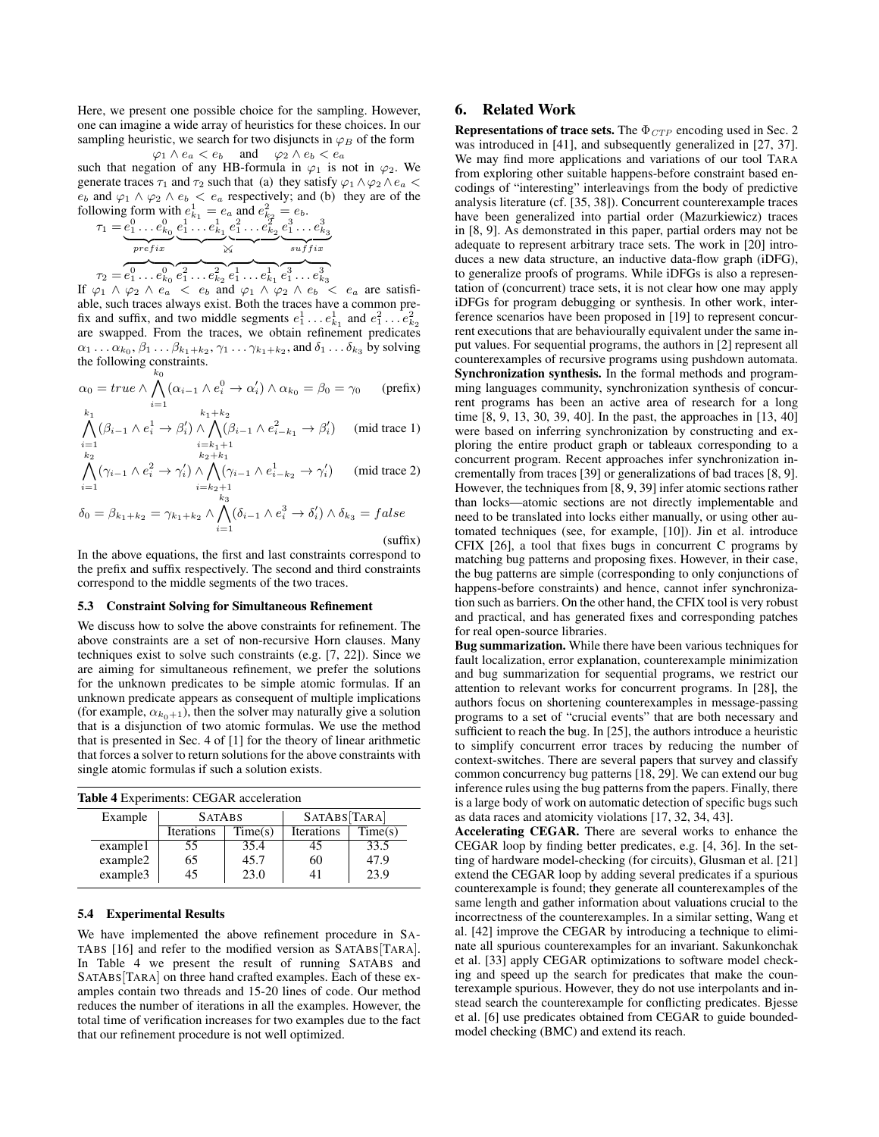Here, we present one possible choice for the sampling. However, one can imagine a wide array of heuristics for these choices. In our sampling heuristic, we search for two disjuncts in  $\varphi_B$  of the form  $\varphi_1 \wedge e_a < e_b$  and  $\varphi_2 \wedge e_b < e_a$ 

such that negation of any HB-formula in  $\varphi_1$  is not in  $\varphi_2$ . We generate traces  $\tau_1$  and  $\tau_2$  such that (a) they satisfy  $\varphi_1 \wedge \varphi_2 \wedge e_a$  $e_b$  and  $\varphi_1 \wedge \varphi_2 \wedge e_b < e_a$  respectively; and (b) they are of the following form with  $e_{k_1}^1 = e_a$  and  $e_{k_2}^2 = e_b$ .

$$
\tau_1 = \underbrace{e_1^0 \dots e_{k_0}^0}_{\text{prefix}} \underbrace{e_1^1 \dots e_{k_1}^1}_{\text{X}} \underbrace{e_1^2 \dots e_{k_2}^2}_{\text{Suffix}} \underbrace{e_1^3 \dots e_{k_3}^3}_{\text{suffix}}
$$
\n
$$
\tau_2 = e_1^0 \dots e_{k_0}^0 \underbrace{e_1^2 \dots e_{k_2}^2}_{\text{Cuffix}} \underbrace{e_1^1 \dots e_{k_1}^1}_{\text{Cuffix}} \underbrace{e_1^3 \dots e_{k_3}^3}_{\text{ruffix}}
$$

If  $\varphi_1 \wedge \varphi_2 \wedge e_a \langle e_b \rangle$  and  $\varphi_1 \wedge \varphi_2 \wedge e_b \langle e_a \rangle$  are satisfiable, such traces always exist. Both the traces have a common prefix and suffix, and two middle segments  $e_1^1 \dots e_{k_1}^1$  and  $e_1^2 \dots e_{k_2}^2$ are swapped. From the traces, we obtain refinement predicates  $\alpha_1 \dots \alpha_{k_0}, \beta_1 \dots \beta_{k_1+k_2}, \gamma_1 \dots \gamma_{k_1+k_2}$ , and  $\delta_1 \dots \delta_{k_3}$  by solving the following constraints.  $k_{0}$ 

$$
\alpha_0 = true \wedge \bigwedge_{i=1}^{n} (\alpha_{i-1} \wedge e_i^0 \rightarrow \alpha_i') \wedge \alpha_{k_0} = \beta_0 = \gamma_0 \qquad \text{(prefix)}
$$

$$
\bigwedge_{i=1}^{k_1} (\beta_{i-1} \wedge e_i^1 \rightarrow \beta_i') \wedge \bigwedge_{i=k_1+1}^{k_1+k_2} (\beta_{i-1} \wedge e_{i-k_1}^2 \rightarrow \beta_i') \pmod{\text{trace 1}}
$$
\n
$$
\bigwedge_{k \geq k}^{k_1+k_2} (\beta_{i-1} \wedge e_{i-k_1}^2 \rightarrow \beta_i')
$$

$$
\bigwedge_{i=1}^{k_2} (\gamma_{i-1} \wedge e_i^2 \rightarrow \gamma'_i) \wedge \bigwedge_{i=k_2+1}^{k_2+k_1} (\gamma_{i-1} \wedge e_{i-k_2}^1 \rightarrow \gamma'_i) \qquad (\text{mid trace 2})
$$

$$
\delta_0 = \beta_{k_1 + k_2} = \gamma_{k_1 + k_2} \wedge \bigwedge_{i=1}^{k_3} (\delta_{i-1} \wedge e_i^3 \rightarrow \delta_i') \wedge \delta_{k_3} = false
$$

#### (suffix)

In the above equations, the first and last constraints correspond to the prefix and suffix respectively. The second and third constraints correspond to the middle segments of the two traces.

#### 5.3 Constraint Solving for Simultaneous Refinement

We discuss how to solve the above constraints for refinement. The above constraints are a set of non-recursive Horn clauses. Many techniques exist to solve such constraints (e.g. [\[7,](#page-11-20) [22\]](#page-11-21)). Since we are aiming for simultaneous refinement, we prefer the solutions for the unknown predicates to be simple atomic formulas. If an unknown predicate appears as consequent of multiple implications (for example,  $\alpha_{k_0+1}$ ), then the solver may naturally give a solution that is a disjunction of two atomic formulas. We use the method that is presented in Sec. 4 of [\[1\]](#page-11-12) for the theory of linear arithmetic that forces a solver to return solutions for the above constraints with single atomic formulas if such a solution exists.

<span id="page-10-0"></span>

| <b>Table 4 Experiments: CEGAR acceleration</b> |          |                   |         |              |         |  |  |  |  |
|------------------------------------------------|----------|-------------------|---------|--------------|---------|--|--|--|--|
|                                                | Example  | <b>SATABS</b>     |         | SATABS[TARA] |         |  |  |  |  |
|                                                |          | <b>Iterations</b> | Time(s) | Iterations   | Time(s) |  |  |  |  |
|                                                | example1 | 55                | 35.4    | 45           | 33.5    |  |  |  |  |
|                                                | example2 | 65                | 45.7    | 60           | 47.9    |  |  |  |  |
|                                                | example3 | 45                | 23.0    | 41           | 23.9    |  |  |  |  |

## 5.4 Experimental Results

We have implemented the above refinement procedure in SA-TABS [\[16\]](#page-11-22) and refer to the modified version as SATABS[TARA]. In Table [4](#page-10-0) we present the result of running SATABS and SATABS[TARA] on three hand crafted examples. Each of these examples contain two threads and 15-20 lines of code. Our method reduces the number of iterations in all the examples. However, the total time of verification increases for two examples due to the fact that our refinement procedure is not well optimized.

# 6. Related Work

Representations of trace sets. The  $\Phi_{CTP}$  encoding used in Sec. [2](#page-2-0) was introduced in [\[41\]](#page-11-3), and subsequently generalized in [\[27,](#page-11-23) [37\]](#page-11-24). We may find more applications and variations of our tool TARA from exploring other suitable happens-before constraint based encodings of "interesting" interleavings from the body of predictive analysis literature (cf. [\[35,](#page-11-2) [38\]](#page-11-25)). Concurrent counterexample traces have been generalized into partial order (Mazurkiewicz) traces in [\[8,](#page-11-4) [9\]](#page-11-5). As demonstrated in this paper, partial orders may not be adequate to represent arbitrary trace sets. The work in [\[20\]](#page-11-26) introduces a new data structure, an inductive data-flow graph (iDFG), to generalize proofs of programs. While iDFGs is also a representation of (concurrent) trace sets, it is not clear how one may apply iDFGs for program debugging or synthesis. In other work, interference scenarios have been proposed in [\[19\]](#page-11-27) to represent concurrent executions that are behaviourally equivalent under the same input values. For sequential programs, the authors in [\[2\]](#page-11-28) represent all counterexamples of recursive programs using pushdown automata. Synchronization synthesis. In the formal methods and programming languages community, synchronization synthesis of concurrent programs has been an active area of research for a long time [\[8,](#page-11-4) [9,](#page-11-5) [13,](#page-11-8) [30,](#page-11-9) [39,](#page-11-10) [40\]](#page-11-29). In the past, the approaches in [\[13,](#page-11-8) [40\]](#page-11-29) were based on inferring synchronization by constructing and exploring the entire product graph or tableaux corresponding to a concurrent program. Recent approaches infer synchronization incrementally from traces [\[39\]](#page-11-10) or generalizations of bad traces [\[8,](#page-11-4) [9\]](#page-11-5). However, the techniques from [\[8,](#page-11-4) [9,](#page-11-5) [39\]](#page-11-10) infer atomic sections rather than locks—atomic sections are not directly implementable and need to be translated into locks either manually, or using other automated techniques (see, for example, [\[10\]](#page-11-30)). Jin et al. introduce CFIX [\[26\]](#page-11-31), a tool that fixes bugs in concurrent C programs by matching bug patterns and proposing fixes. However, in their case, the bug patterns are simple (corresponding to only conjunctions of happens-before constraints) and hence, cannot infer synchronization such as barriers. On the other hand, the CFIX tool is very robust and practical, and has generated fixes and corresponding patches for real open-source libraries.

Bug summarization. While there have been various techniques for fault localization, error explanation, counterexample minimization and bug summarization for sequential programs, we restrict our attention to relevant works for concurrent programs. In [\[28\]](#page-11-32), the authors focus on shortening counterexamples in message-passing programs to a set of "crucial events" that are both necessary and sufficient to reach the bug. In [\[25\]](#page-11-33), the authors introduce a heuristic to simplify concurrent error traces by reducing the number of context-switches. There are several papers that survey and classify common concurrency bug patterns [\[18,](#page-11-34) [29\]](#page-11-14). We can extend our bug inference rules using the bug patterns from the papers. Finally, there is a large body of work on automatic detection of specific bugs such as data races and atomicity violations [\[17,](#page-11-35) [32,](#page-11-36) [34,](#page-11-1) [43\]](#page-11-37).

Accelerating CEGAR. There are several works to enhance the CEGAR loop by finding better predicates, e.g. [\[4,](#page-11-11) [36\]](#page-11-38). In the setting of hardware model-checking (for circuits), Glusman et al. [\[21\]](#page-11-39) extend the CEGAR loop by adding several predicates if a spurious counterexample is found; they generate all counterexamples of the same length and gather information about valuations crucial to the incorrectness of the counterexamples. In a similar setting, Wang et al. [\[42\]](#page-11-40) improve the CEGAR by introducing a technique to eliminate all spurious counterexamples for an invariant. Sakunkonchak et al. [\[33\]](#page-11-41) apply CEGAR optimizations to software model checking and speed up the search for predicates that make the counterexample spurious. However, they do not use interpolants and instead search the counterexample for conflicting predicates. Bjesse et al. [\[6\]](#page-11-42) use predicates obtained from CEGAR to guide boundedmodel checking (BMC) and extend its reach.